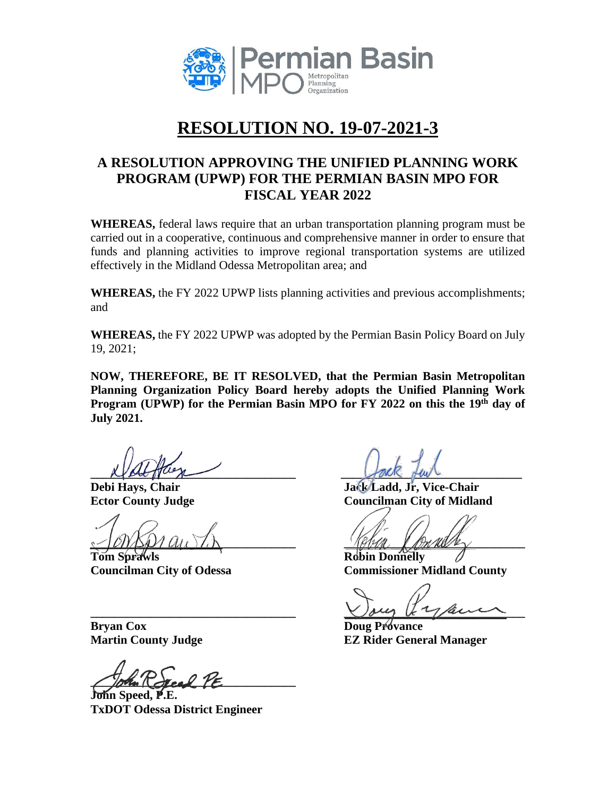

# **RESOLUTION NO. 19-07-2021-3**

# **A RESOLUTION APPROVING THE UNIFIED PLANNING WORK PROGRAM (UPWP) FOR THE PERMIAN BASIN MPO FOR FISCAL YEAR 2022**

**WHEREAS,** federal laws require that an urban transportation planning program must be carried out in a cooperative, continuous and comprehensive manner in order to ensure that funds and planning activities to improve regional transportation systems are utilized effectively in the Midland Odessa Metropolitan area; and

**WHEREAS,** the FY 2022 UPWP lists planning activities and previous accomplishments; and

**WHEREAS,** the FY 2022 UPWP was adopted by the Permian Basin Policy Board on July 19, 2021;

**NOW, THEREFORE, BE IT RESOLVED, that the Permian Basin Metropolitan Planning Organization Policy Board hereby adopts the Unified Planning Work Program (UPWP) for the Permian Basin MPO for FY 2022 on this the 19th day of July 2021.**

**Let page 1** 

**\_\_\_\_\_\_\_\_\_\_\_\_\_\_\_\_\_\_\_\_\_\_\_\_\_\_\_\_\_\_\_\_\_\_ \_\_\_\_\_\_\_\_\_\_\_\_\_\_\_\_\_\_\_\_\_\_\_\_\_\_\_\_\_\_**

**Tom Sprawls Robin Donnelly**

**Debi Hays, Chair Jack Ladd, Jr, Vice-Chair Ector County Judge Councilman City of Midland** 

**Councilman City of Odessa Commissioner Midland County** 

 $\bigcup_{\mu\in\mathcal{A}}\bigcup_{\mu\in\mathcal{A}}\bigcup_{\mu\in\mathcal{A}}\bigcup_{\mu\in\mathcal{A}}\bigcup_{\mu\in\mathcal{A}}\bigcup_{\mu\in\mathcal{A}}\bigcup_{\mu\in\mathcal{A}}\bigcup_{\mu\in\mathcal{A}}\bigcup_{\mu\in\mathcal{A}}\bigcup_{\mu\in\mathcal{A}}\bigcup_{\mu\in\mathcal{A}}\bigcup_{\mu\in\mathcal{A}}\bigcup_{\mu\in\mathcal{A}}\bigcup_{\mu\in\mathcal{A}}\bigcup_{\mu\in\mathcal{A}}\bigcup_{\mu\in\mathcal$ 

**Martin County Judge EZ Rider General Manager**

**Bryan Cox Doug Provance** 

 $\sqrt{|\partial h_m|}\cos\theta$   $\gamma_E$ 

**John Speed, P.E. TxDOT Odessa District Engineer**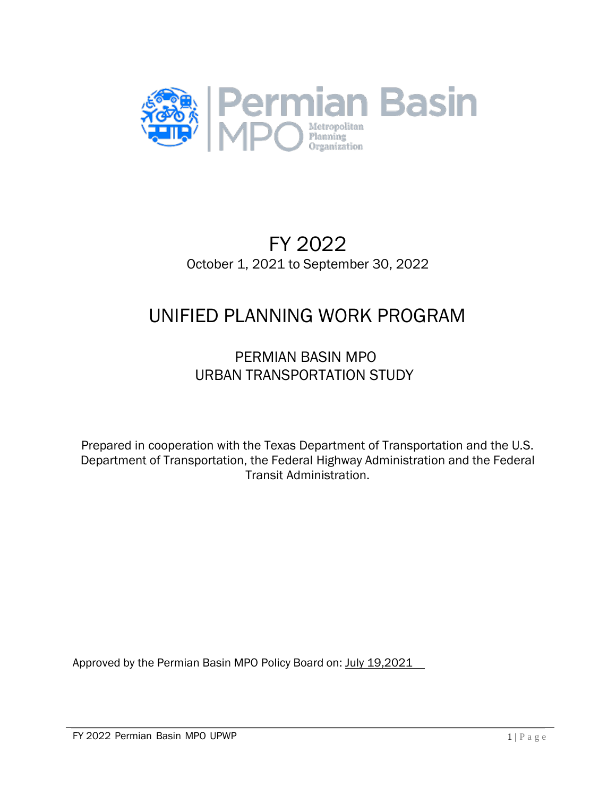

# FY 2022 October 1, 2021 to September 30, 2022

# UNIFIED PLANNING WORK PROGRAM

# PERMIAN BASIN MPO URBAN TRANSPORTATION STUDY

Prepared in cooperation with the Texas Department of Transportation and the U.S. Department of Transportation, the Federal Highway Administration and the Federal Transit Administration.

Approved by the Permian Basin MPO Policy Board on: July 19,2021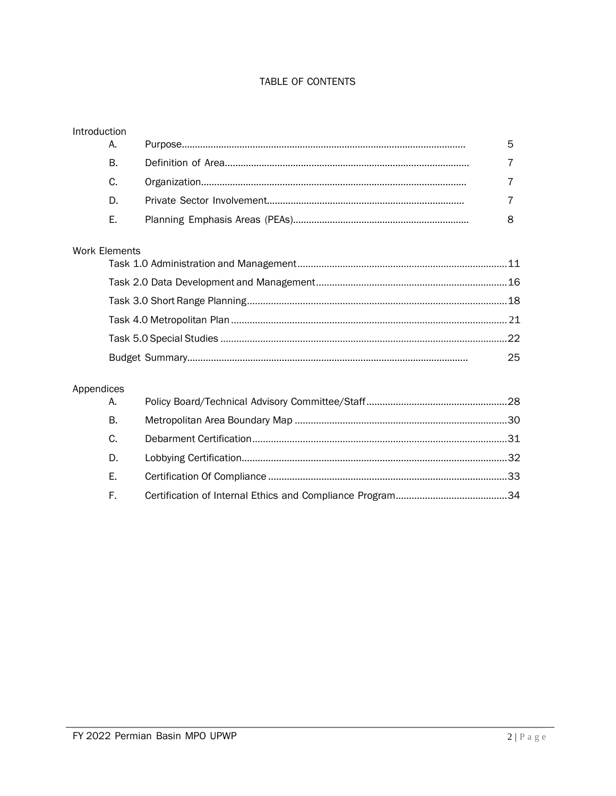#### TABLE OF CONTENTS

| Introduction |                      |    |
|--------------|----------------------|----|
|              | А.                   | 5  |
|              | Β.                   |    |
|              | C.                   | 7  |
|              | D.                   | 7  |
|              | Е.                   | 8  |
|              | <b>Work Elements</b> |    |
|              |                      |    |
|              |                      |    |
|              |                      |    |
|              |                      |    |
|              |                      | 25 |
| Appendices   |                      |    |
|              | А.                   |    |
|              | В.                   |    |
|              |                      |    |

| C. |  |
|----|--|
| D. |  |
| E. |  |
| E. |  |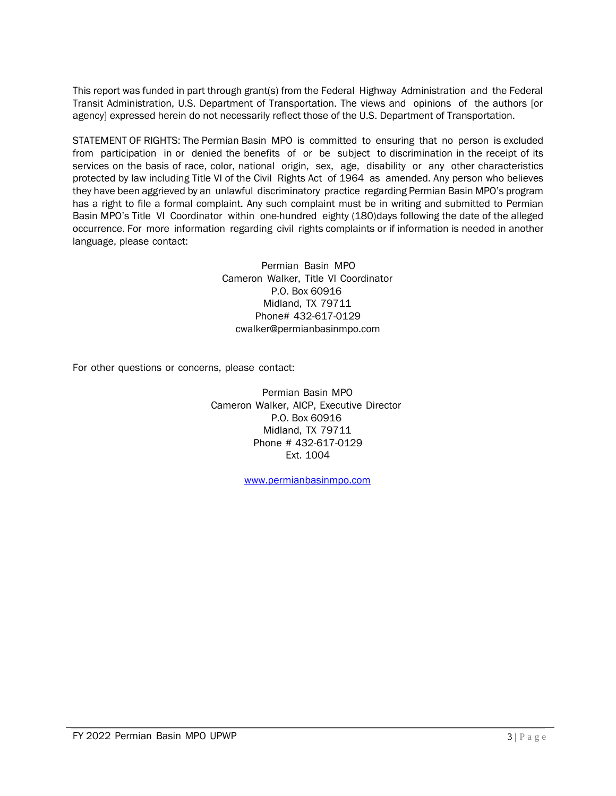This report was funded in part through grant(s) from the Federal Highway Administration and the Federal Transit Administration, U.S. Department of Transportation. The views and opinions of the authors [or agency] expressed herein do not necessarily reflect those of the U.S. Department of Transportation.

STATEMENT OF RIGHTS: The Permian Basin MPO is committed to ensuring that no person is excluded from participation in or denied the benefits of or be subject to discrimination in the receipt of its services on the basis of race, color, national origin, sex, age, disability or any other characteristics protected by law including Title VI of the Civil Rights Act of 1964 as amended. Any person who believes they have been aggrieved by an unlawful discriminatory practice regarding Permian Basin MPO's program has a right to file a formal complaint. Any such complaint must be in writing and submitted to Permian Basin MPO's Title VI Coordinator within one-hundred eighty (180)days following the date of the alleged occurrence. For more information regarding civil rights complaints or if information is needed in another language, please contact:

> Permian Basin MPO Cameron Walker, Title VI Coordinator P.O. Box 60916 Midland, TX 79711 Phone# 432-617-0129 [cwalker@permianbasinmpo.com](mailto:cwalker@permianbasinmpo.com)

For other questions or concerns, please contact:

Permian Basin MPO Cameron Walker, AICP, Executive Director P.O. Box 60916 Midland, TX 79711 Phone # 432-617-0129 Ext. 1004

[www.permianbasinmpo.com](http://www.permianbasinmpo.com/)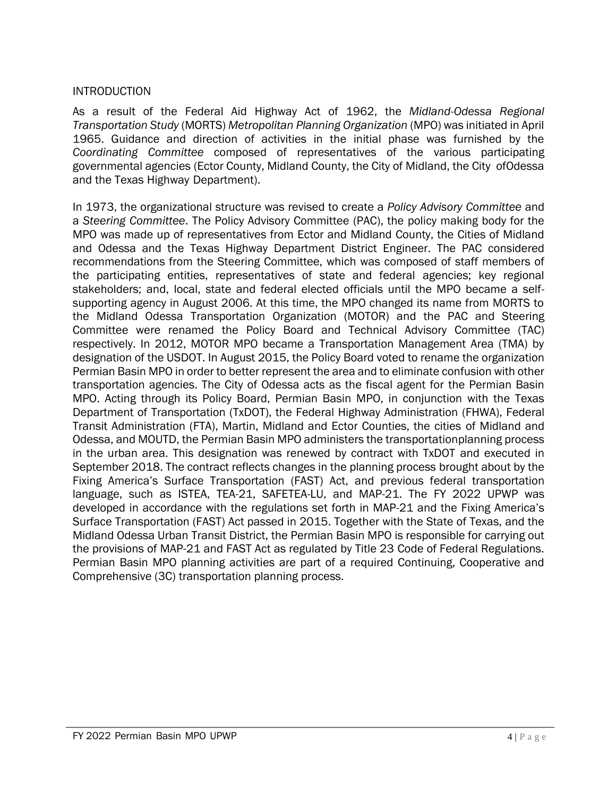#### **INTRODUCTION**

As a result of the Federal Aid Highway Act of 1962, the *Midland-Odessa Regional Transportation Study* (MORTS) *Metropolitan Planning Organization* (MPO) was initiated in April 1965. Guidance and direction of activities in the initial phase was furnished by the *Coordinating Committee* composed of representatives of the various participating governmental agencies (Ector County, Midland County, the City of Midland, the City ofOdessa and the Texas Highway Department).

In 1973, the organizational structure was revised to create a *Policy Advisory Committee* and a *Steering Committee*. The Policy Advisory Committee (PAC), the policy making body for the MPO was made up of representatives from Ector and Midland County, the Cities of Midland and Odessa and the Texas Highway Department District Engineer. The PAC considered recommendations from the Steering Committee, which was composed of staff members of the participating entities, representatives of state and federal agencies; key regional stakeholders; and, local, state and federal elected officials until the MPO became a selfsupporting agency in August 2006. At this time, the MPO changed its name from MORTS to the Midland Odessa Transportation Organization (MOTOR) and the PAC and Steering Committee were renamed the Policy Board and Technical Advisory Committee (TAC) respectively. In 2012, MOTOR MPO became a Transportation Management Area (TMA) by designation of the USDOT. In August 2015, the Policy Board voted to rename the organization Permian Basin MPO in order to better represent the area and to eliminate confusion with other transportation agencies. The City of Odessa acts as the fiscal agent for the Permian Basin MPO. Acting through its Policy Board, Permian Basin MPO, in conjunction with the Texas Department of Transportation (TxDOT), the Federal Highway Administration (FHWA), Federal Transit Administration (FTA), Martin, Midland and Ector Counties, the cities of Midland and Odessa, and MOUTD, the Permian Basin MPO administers the transportationplanning process in the urban area. This designation was renewed by contract with TxDOT and executed in September 2018. The contract reflects changes in the planning process brought about by the Fixing America's Surface Transportation (FAST) Act, and previous federal transportation language, such as ISTEA, TEA-21, SAFETEA-LU, and MAP-21. The FY 2022 UPWP was developed in accordance with the regulations set forth in MAP-21 and the Fixing America's Surface Transportation (FAST) Act passed in 2015. Together with the State of Texas, and the Midland Odessa Urban Transit District, the Permian Basin MPO is responsible for carrying out the provisions of MAP-21 and FAST Act as regulated by Title 23 Code of Federal Regulations. Permian Basin MPO planning activities are part of a required Continuing, Cooperative and Comprehensive (3C) transportation planning process.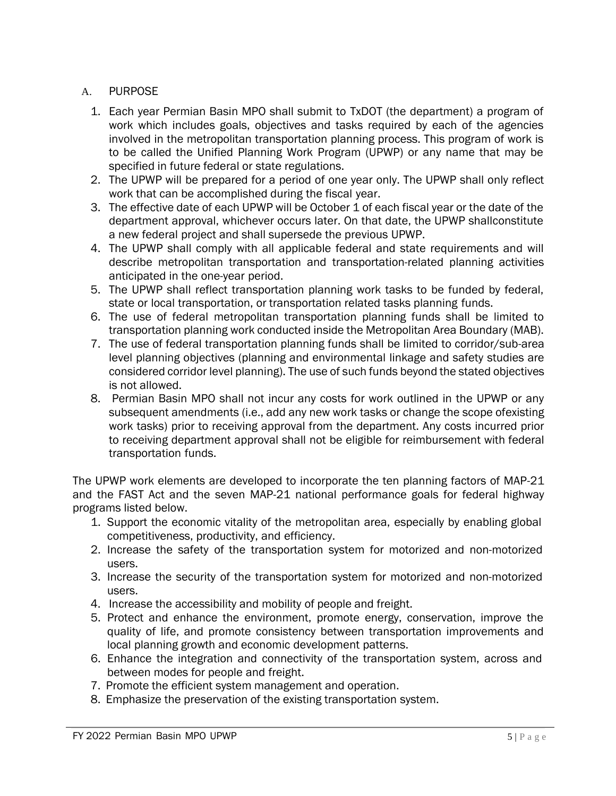#### A. PURPOSE

- 1. Each year Permian Basin MPO shall submit to TxDOT (the department) a program of work which includes goals, objectives and tasks required by each of the agencies involved in the metropolitan transportation planning process. This program of work is to be called the Unified Planning Work Program (UPWP) or any name that may be specified in future federal or state regulations.
- 2. The UPWP will be prepared for a period of one year only. The UPWP shall only reflect work that can be accomplished during the fiscal year.
- 3. The effective date of each UPWP will be October 1 of each fiscal year or the date of the department approval, whichever occurs later. On that date, the UPWP shallconstitute a new federal project and shall supersede the previous UPWP.
- 4. The UPWP shall comply with all applicable federal and state requirements and will describe metropolitan transportation and transportation-related planning activities anticipated in the one-year period.
- 5. The UPWP shall reflect transportation planning work tasks to be funded by federal, state or local transportation, or transportation related tasks planning funds.
- 6. The use of federal metropolitan transportation planning funds shall be limited to transportation planning work conducted inside the Metropolitan Area Boundary (MAB).
- 7. The use of federal transportation planning funds shall be limited to corridor/sub-area level planning objectives (planning and environmental linkage and safety studies are considered corridor level planning). The use of such funds beyond the stated objectives is not allowed.
- 8. Permian Basin MPO shall not incur any costs for work outlined in the UPWP or any subsequent amendments (i.e., add any new work tasks or change the scope ofexisting work tasks) prior to receiving approval from the department. Any costs incurred prior to receiving department approval shall not be eligible for reimbursement with federal transportation funds.

The UPWP work elements are developed to incorporate the ten planning factors of MAP-21 and the FAST Act and the seven MAP-21 national performance goals for federal highway programs listed below.

- 1. Support the economic vitality of the metropolitan area, especially by enabling global competitiveness, productivity, and efficiency.
- 2. Increase the safety of the transportation system for motorized and non-motorized users.
- 3. Increase the security of the transportation system for motorized and non-motorized users.
- 4. Increase the accessibility and mobility of people and freight.
- 5. Protect and enhance the environment, promote energy, conservation, improve the quality of life, and promote consistency between transportation improvements and local planning growth and economic development patterns.
- 6. Enhance the integration and connectivity of the transportation system, across and between modes for people and freight.
- 7. Promote the efficient system management and operation.
- 8. Emphasize the preservation of the existing transportation system.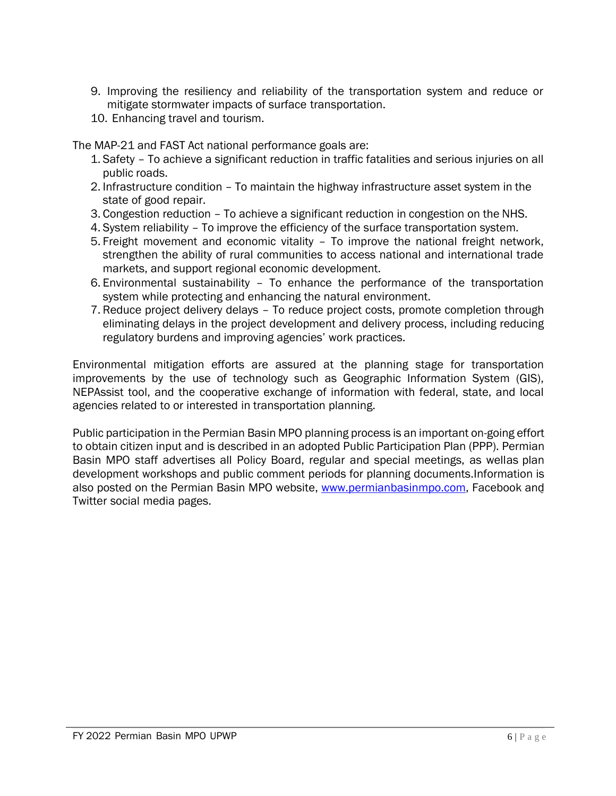- 9. Improving the resiliency and reliability of the transportation system and reduce or mitigate stormwater impacts of surface transportation.
- 10. Enhancing travel and tourism.

The MAP-21 and FAST Act national performance goals are:

- 1. Safety To achieve a significant reduction in traffic fatalities and serious injuries on all public roads.
- 2. Infrastructure condition To maintain the highway infrastructure asset system in the state of good repair.
- 3. Congestion reduction To achieve a significant reduction in congestion on the NHS.
- 4. System reliability To improve the efficiency of the surface transportation system.
- 5. Freight movement and economic vitality To improve the national freight network, strengthen the ability of rural communities to access national and international trade markets, and support regional economic development.
- 6. Environmental sustainability To enhance the performance of the transportation system while protecting and enhancing the natural environment.
- 7. Reduce project delivery delays To reduce project costs, promote completion through eliminating delays in the project development and delivery process, including reducing regulatory burdens and improving agencies' work practices.

Environmental mitigation efforts are assured at the planning stage for transportation improvements by the use of technology such as Geographic Information System (GIS), NEPAssist tool, and the cooperative exchange of information with federal, state, and local agencies related to or interested in transportation planning.

Public participation in the Permian Basin MPO planning process is an important on-going effort to obtain citizen input and is described in an adopted Public Participation Plan (PPP). Permian Basin MPO staff advertises all Policy Board, regular and special meetings, as wellas plan development workshops and public comment periods for planning documents.Information is also posted on the Permian Basin MPO website, [www.permianbasinmpo.com,](http://www.permianbasinmpo.com/) Facebook and Twitter social media pages.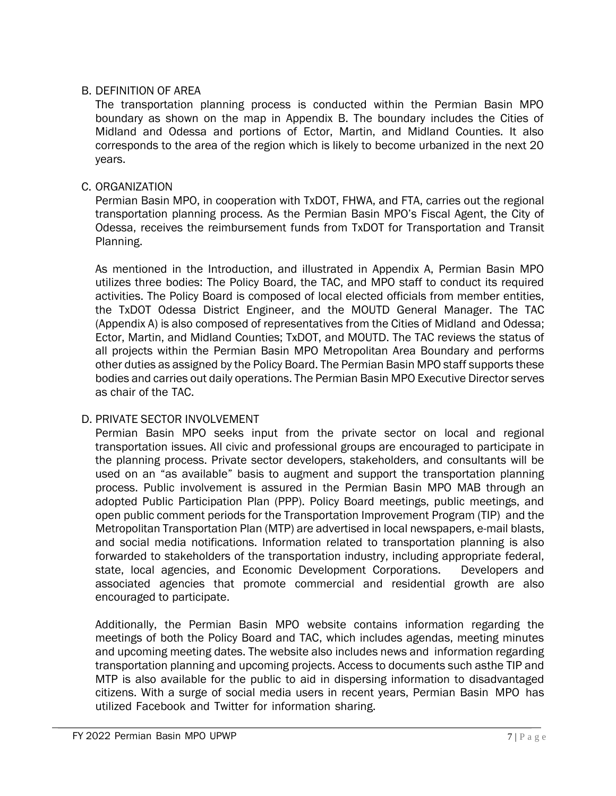#### B. DEFINITION OF AREA

The transportation planning process is conducted within the Permian Basin MPO boundary as shown on the map in Appendix B. The boundary includes the Cities of Midland and Odessa and portions of Ector, Martin, and Midland Counties. It also corresponds to the area of the region which is likely to become urbanized in the next 20 years.

#### C. ORGANIZATION

Permian Basin MPO, in cooperation with TxDOT, FHWA, and FTA, carries out the regional transportation planning process. As the Permian Basin MPO's Fiscal Agent, the City of Odessa, receives the reimbursement funds from TxDOT for Transportation and Transit Planning.

As mentioned in the Introduction, and illustrated in Appendix A, Permian Basin MPO utilizes three bodies: The Policy Board, the TAC, and MPO staff to conduct its required activities. The Policy Board is composed of local elected officials from member entities, the TxDOT Odessa District Engineer, and the MOUTD General Manager. The TAC (Appendix A) is also composed of representatives from the Cities of Midland and Odessa; Ector, Martin, and Midland Counties; TxDOT, and MOUTD. The TAC reviews the status of all projects within the Permian Basin MPO Metropolitan Area Boundary and performs other duties as assigned by the Policy Board. The Permian Basin MPO staff supports these bodies and carries out daily operations. The Permian Basin MPO Executive Director serves as chair of the TAC.

#### D. PRIVATE SECTOR INVOLVEMENT

Permian Basin MPO seeks input from the private sector on local and regional transportation issues. All civic and professional groups are encouraged to participate in the planning process. Private sector developers, stakeholders, and consultants will be used on an "as available" basis to augment and support the transportation planning process. Public involvement is assured in the Permian Basin MPO MAB through an adopted Public Participation Plan (PPP). Policy Board meetings, public meetings, and open public comment periods for the Transportation Improvement Program (TIP) and the Metropolitan Transportation Plan (MTP) are advertised in local newspapers, e-mail blasts, and social media notifications. Information related to transportation planning is also forwarded to stakeholders of the transportation industry, including appropriate federal, state, local agencies, and Economic Development Corporations. Developers and associated agencies that promote commercial and residential growth are also encouraged to participate.

Additionally, the Permian Basin MPO website contains information regarding the meetings of both the Policy Board and TAC, which includes agendas, meeting minutes and upcoming meeting dates. The website also includes news and information regarding transportation planning and upcoming projects. Access to documents such asthe TIP and MTP is also available for the public to aid in dispersing information to disadvantaged citizens. With a surge of social media users in recent years, Permian Basin MPO has utilized Facebook and Twitter for information sharing.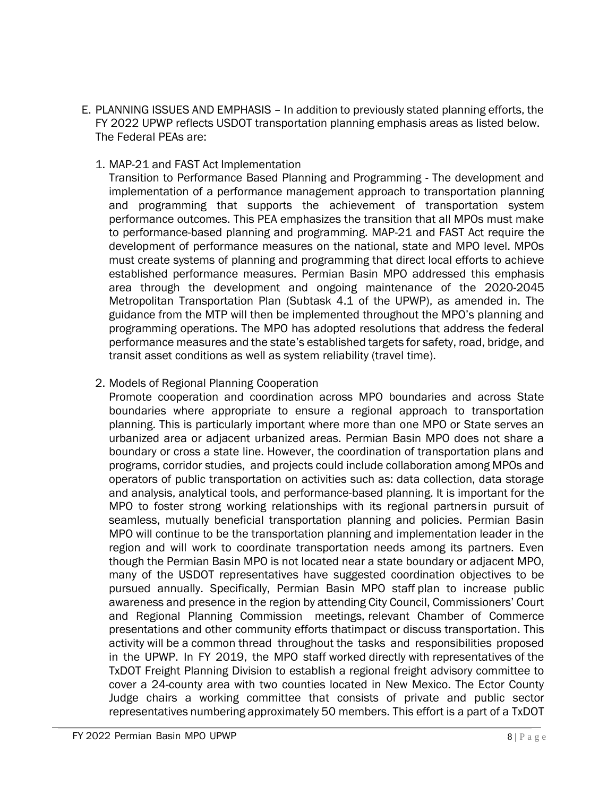- E. PLANNING ISSUES AND EMPHASIS In addition to previously stated planning efforts, the FY 2022 UPWP reflects USDOT transportation planning emphasis areas as listed below. The Federal PEAs are:
	- 1. MAP-21 and FAST Act Implementation

Transition to Performance Based Planning and Programming - The development and implementation of a performance management approach to transportation planning and programming that supports the achievement of transportation system performance outcomes. This PEA emphasizes the transition that all MPOs must make to performance-based planning and programming. MAP-21 and FAST Act require the development of performance measures on the national, state and MPO level. MPOs must create systems of planning and programming that direct local efforts to achieve established performance measures. Permian Basin MPO addressed this emphasis area through the development and ongoing maintenance of the 2020-2045 Metropolitan Transportation Plan (Subtask 4.1 of the UPWP), as amended in. The guidance from the MTP will then be implemented throughout the MPO's planning and programming operations. The MPO has adopted resolutions that address the federal performance measures and the state's established targets for safety, road, bridge, and transit asset conditions as well as system reliability (travel time).

#### 2. Models of Regional Planning Cooperation

Promote cooperation and coordination across MPO boundaries and across State boundaries where appropriate to ensure a regional approach to transportation planning. This is particularly important where more than one MPO or State serves an urbanized area or adjacent urbanized areas. Permian Basin MPO does not share a boundary or cross a state line. However, the coordination of transportation plans and programs, corridor studies, and projects could include collaboration among MPOs and operators of public transportation on activities such as: data collection, data storage and analysis, analytical tools, and performance-based planning. It is important for the MPO to foster strong working relationships with its regional partnersin pursuit of seamless, mutually beneficial transportation planning and policies. Permian Basin MPO will continue to be the transportation planning and implementation leader in the region and will work to coordinate transportation needs among its partners. Even though the Permian Basin MPO is not located near a state boundary or adjacent MPO, many of the USDOT representatives have suggested coordination objectives to be pursued annually. Specifically, Permian Basin MPO staff plan to increase public awareness and presence in the region by attending City Council, Commissioners' Court and Regional Planning Commission meetings, relevant Chamber of Commerce presentations and other community efforts thatimpact or discuss transportation. This activity will be a common thread throughout the tasks and responsibilities proposed in the UPWP. In FY 2019, the MPO staff worked directly with representatives of the TxDOT Freight Planning Division to establish a regional freight advisory committee to cover a 24-county area with two counties located in New Mexico. The Ector County Judge chairs a working committee that consists of private and public sector representatives numbering approximately 50 members. This effort is a part of a TxDOT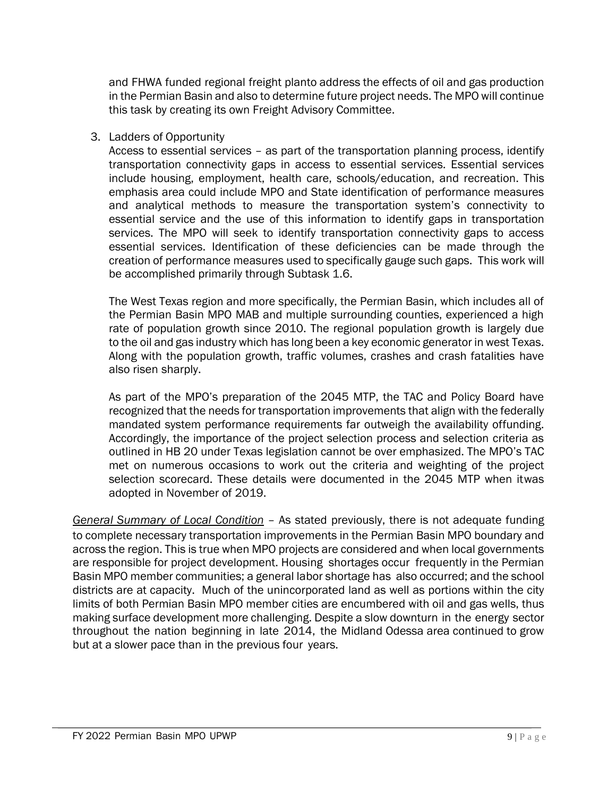and FHWA funded regional freight planto address the effects of oil and gas production in the Permian Basin and also to determine future project needs. The MPO will continue this task by creating its own Freight Advisory Committee.

#### 3. Ladders of Opportunity

Access to essential services – as part of the transportation planning process, identify transportation connectivity gaps in access to essential services. Essential services include housing, employment, health care, schools/education, and recreation. This emphasis area could include MPO and State identification of performance measures and analytical methods to measure the transportation system's connectivity to essential service and the use of this information to identify gaps in transportation services. The MPO will seek to identify transportation connectivity gaps to access essential services. Identification of these deficiencies can be made through the creation of performance measures used to specifically gauge such gaps. This work will be accomplished primarily through Subtask 1.6.

The West Texas region and more specifically, the Permian Basin, which includes all of the Permian Basin MPO MAB and multiple surrounding counties, experienced a high rate of population growth since 2010. The regional population growth is largely due to the oil and gas industry which has long been a key economic generator in west Texas. Along with the population growth, traffic volumes, crashes and crash fatalities have also risen sharply.

As part of the MPO's preparation of the 2045 MTP, the TAC and Policy Board have recognized that the needs for transportation improvements that align with the federally mandated system performance requirements far outweigh the availability offunding. Accordingly, the importance of the project selection process and selection criteria as outlined in HB 20 under Texas legislation cannot be over emphasized. The MPO's TAC met on numerous occasions to work out the criteria and weighting of the project selection scorecard. These details were documented in the 2045 MTP when itwas adopted in November of 2019.

*General Summary of Local Condition* – As stated previously, there is not adequate funding to complete necessary transportation improvements in the Permian Basin MPO boundary and across the region. This is true when MPO projects are considered and when local governments are responsible for project development. Housing shortages occur frequently in the Permian Basin MPO member communities; a general labor shortage has also occurred; and the school districts are at capacity. Much of the unincorporated land as well as portions within the city limits of both Permian Basin MPO member cities are encumbered with oil and gas wells, thus making surface development more challenging. Despite a slow downturn in the energy sector throughout the nation beginning in late 2014, the Midland Odessa area continued to grow but at a slower pace than in the previous four years.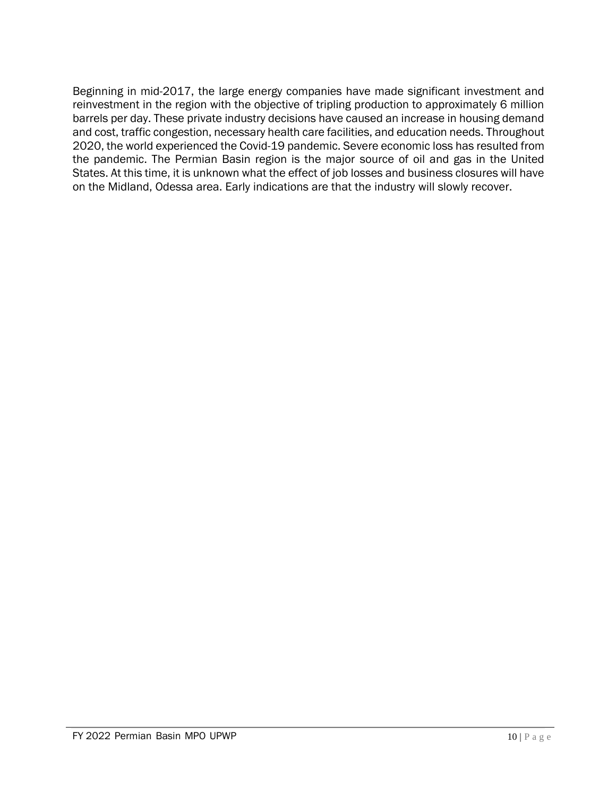Beginning in mid-2017, the large energy companies have made significant investment and reinvestment in the region with the objective of tripling production to approximately 6 million barrels per day. These private industry decisions have caused an increase in housing demand and cost, traffic congestion, necessary health care facilities, and education needs. Throughout 2020, the world experienced the Covid-19 pandemic. Severe economic loss has resulted from the pandemic. The Permian Basin region is the major source of oil and gas in the United States. At this time, it is unknown what the effect of job losses and business closures will have on the Midland, Odessa area. Early indications are that the industry will slowly recover.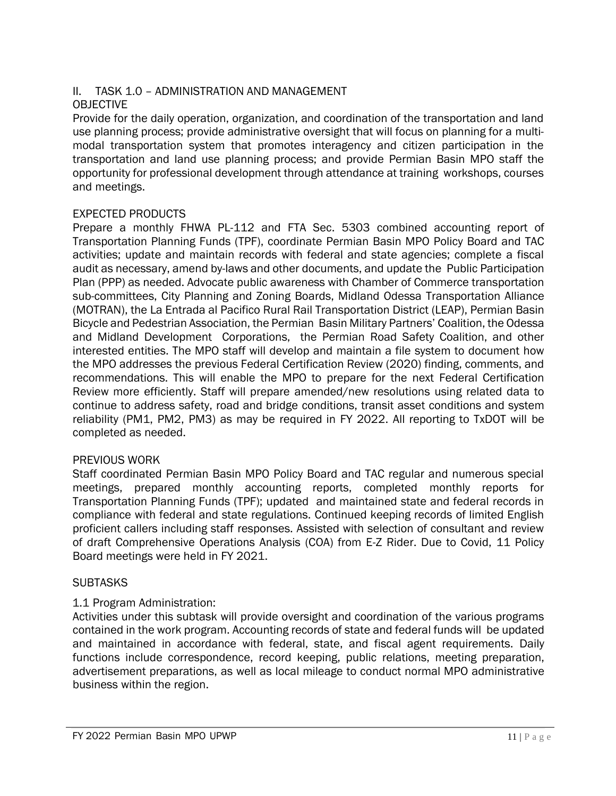# II. TASK 1.0 – ADMINISTRATION AND MANAGEMENT

### OBJECTIVE

Provide for the daily operation, organization, and coordination of the transportation and land use planning process; provide administrative oversight that will focus on planning for a multimodal transportation system that promotes interagency and citizen participation in the transportation and land use planning process; and provide Permian Basin MPO staff the opportunity for professional development through attendance at training workshops, courses and meetings.

#### EXPECTED PRODUCTS

Prepare a monthly FHWA PL-112 and FTA Sec. 5303 combined accounting report of Transportation Planning Funds (TPF), coordinate Permian Basin MPO Policy Board and TAC activities; update and maintain records with federal and state agencies; complete a fiscal audit as necessary, amend by-laws and other documents, and update the Public Participation Plan (PPP) as needed. Advocate public awareness with Chamber of Commerce transportation sub-committees, City Planning and Zoning Boards, Midland Odessa Transportation Alliance (MOTRAN), the La Entrada al Pacifico Rural Rail Transportation District (LEAP), Permian Basin Bicycle and Pedestrian Association, the Permian Basin Military Partners' Coalition, the Odessa and Midland Development Corporations, the Permian Road Safety Coalition, and other interested entities. The MPO staff will develop and maintain a file system to document how the MPO addresses the previous Federal Certification Review (2020) finding, comments, and recommendations. This will enable the MPO to prepare for the next Federal Certification Review more efficiently. Staff will prepare amended/new resolutions using related data to continue to address safety, road and bridge conditions, transit asset conditions and system reliability (PM1, PM2, PM3) as may be required in FY 2022. All reporting to TxDOT will be completed as needed.

#### PREVIOUS WORK

Staff coordinated Permian Basin MPO Policy Board and TAC regular and numerous special meetings, prepared monthly accounting reports, completed monthly reports for Transportation Planning Funds (TPF); updated and maintained state and federal records in compliance with federal and state regulations. Continued keeping records of limited English proficient callers including staff responses. Assisted with selection of consultant and review of draft Comprehensive Operations Analysis (COA) from E-Z Rider. Due to Covid, 11 Policy Board meetings were held in FY 2021.

#### **SUBTASKS**

### 1.1 Program Administration:

Activities under this subtask will provide oversight and coordination of the various programs contained in the work program. Accounting records of state and federal funds will be updated and maintained in accordance with federal, state, and fiscal agent requirements. Daily functions include correspondence, record keeping, public relations, meeting preparation, advertisement preparations, as well as local mileage to conduct normal MPO administrative business within the region.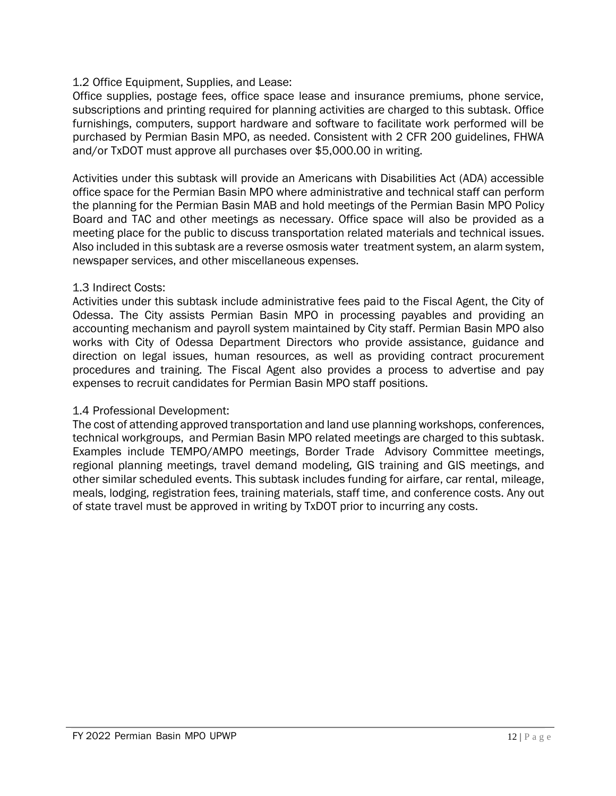#### 1.2 Office Equipment, Supplies, and Lease:

Office supplies, postage fees, office space lease and insurance premiums, phone service, subscriptions and printing required for planning activities are charged to this subtask. Office furnishings, computers, support hardware and software to facilitate work performed will be purchased by Permian Basin MPO, as needed. Consistent with 2 CFR 200 guidelines, FHWA and/or TxDOT must approve all purchases over \$5,000.00 in writing.

Activities under this subtask will provide an Americans with Disabilities Act (ADA) accessible office space for the Permian Basin MPO where administrative and technical staff can perform the planning for the Permian Basin MAB and hold meetings of the Permian Basin MPO Policy Board and TAC and other meetings as necessary. Office space will also be provided as a meeting place for the public to discuss transportation related materials and technical issues. Also included in this subtask are a reverse osmosis water treatment system, an alarm system, newspaper services, and other miscellaneous expenses.

#### 1.3 Indirect Costs:

Activities under this subtask include administrative fees paid to the Fiscal Agent, the City of Odessa. The City assists Permian Basin MPO in processing payables and providing an accounting mechanism and payroll system maintained by City staff. Permian Basin MPO also works with City of Odessa Department Directors who provide assistance, guidance and direction on legal issues, human resources, as well as providing contract procurement procedures and training. The Fiscal Agent also provides a process to advertise and pay expenses to recruit candidates for Permian Basin MPO staff positions.

#### 1.4 Professional Development:

The cost of attending approved transportation and land use planning workshops, conferences, technical workgroups, and Permian Basin MPO related meetings are charged to this subtask. Examples include TEMPO/AMPO meetings, Border Trade Advisory Committee meetings, regional planning meetings, travel demand modeling, GIS training and GIS meetings, and other similar scheduled events. This subtask includes funding for airfare, car rental, mileage, meals, lodging, registration fees, training materials, staff time, and conference costs. Any out of state travel must be approved in writing by TxDOT prior to incurring any costs.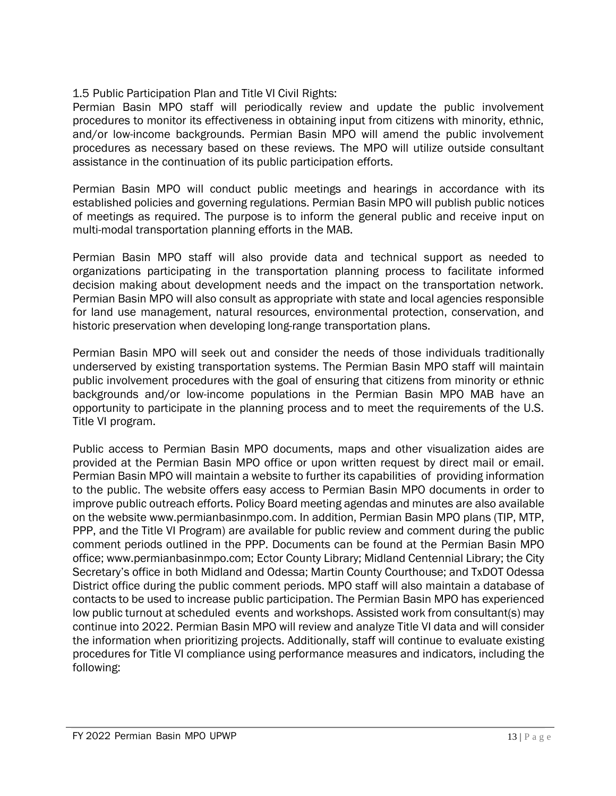1.5 Public Participation Plan and Title VI Civil Rights:

Permian Basin MPO staff will periodically review and update the public involvement procedures to monitor its effectiveness in obtaining input from citizens with minority, ethnic, and/or low-income backgrounds. Permian Basin MPO will amend the public involvement procedures as necessary based on these reviews. The MPO will utilize outside consultant assistance in the continuation of its public participation efforts.

Permian Basin MPO will conduct public meetings and hearings in accordance with its established policies and governing regulations. Permian Basin MPO will publish public notices of meetings as required. The purpose is to inform the general public and receive input on multi-modal transportation planning efforts in the MAB.

Permian Basin MPO staff will also provide data and technical support as needed to organizations participating in the transportation planning process to facilitate informed decision making about development needs and the impact on the transportation network. Permian Basin MPO will also consult as appropriate with state and local agencies responsible for land use management, natural resources, environmental protection, conservation, and historic preservation when developing long-range transportation plans.

Permian Basin MPO will seek out and consider the needs of those individuals traditionally underserved by existing transportation systems. The Permian Basin MPO staff will maintain public involvement procedures with the goal of ensuring that citizens from minority or ethnic backgrounds and/or low-income populations in the Permian Basin MPO MAB have an opportunity to participate in the planning process and to meet the requirements of the U.S. Title VI program.

Public access to Permian Basin MPO documents, maps and other visualization aides are provided at the Permian Basin MPO office or upon written request by direct mail or email. Permian Basin MPO will maintain a website to further its capabilities of providing information to the public. The website offers easy access to Permian Basin MPO documents in order to improve public outreach efforts. Policy Board meeting agendas and minutes are also available on the website [www.permianbasinmpo.com. I](http://www.permianbasinmpo.com/)n addition, Permian Basin MPO plans (TIP, MTP, PPP, and the Title VI Program) are available for public review and comment during the public comment periods outlined in the PPP. Documents can be found at the Permian Basin MPO office; www.permianbasinmpo.com; Ector County Library; Midland Centennial Library; the City Secretary's office in both Midland and Odessa; Martin County Courthouse; and TxDOT Odessa District office during the public comment periods. MPO staff will also maintain a database of contacts to be used to increase public participation. The Permian Basin MPO has experienced low public turnout at scheduled events and workshops. Assisted work from consultant(s) may continue into 2022. Permian Basin MPO will review and analyze Title VI data and will consider the information when prioritizing projects. Additionally, staff will continue to evaluate existing procedures for Title VI compliance using performance measures and indicators, including the following: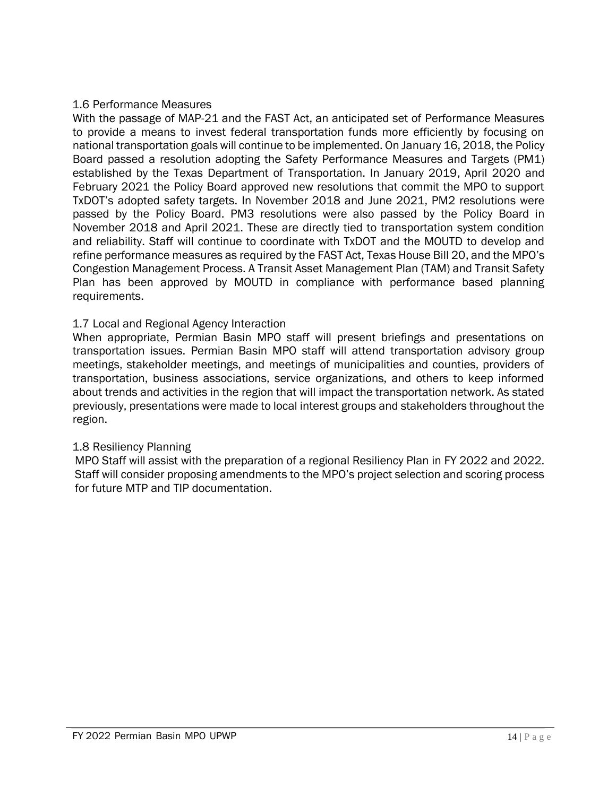#### 1.6 Performance Measures

With the passage of MAP-21 and the FAST Act, an anticipated set of Performance Measures to provide a means to invest federal transportation funds more efficiently by focusing on national transportation goals will continue to be implemented. On January 16, 2018, the Policy Board passed a resolution adopting the Safety Performance Measures and Targets (PM1) established by the Texas Department of Transportation. In January 2019, April 2020 and February 2021 the Policy Board approved new resolutions that commit the MPO to support TxDOT's adopted safety targets. In November 2018 and June 2021, PM2 resolutions were passed by the Policy Board. PM3 resolutions were also passed by the Policy Board in November 2018 and April 2021. These are directly tied to transportation system condition and reliability. Staff will continue to coordinate with TxDOT and the MOUTD to develop and refine performance measures as required by the FAST Act, Texas House Bill 20, and the MPO's Congestion Management Process. A Transit Asset Management Plan (TAM) and Transit Safety Plan has been approved by MOUTD in compliance with performance based planning requirements.

#### 1.7 Local and Regional Agency Interaction

When appropriate, Permian Basin MPO staff will present briefings and presentations on transportation issues. Permian Basin MPO staff will attend transportation advisory group meetings, stakeholder meetings, and meetings of municipalities and counties, providers of transportation, business associations, service organizations, and others to keep informed about trends and activities in the region that will impact the transportation network. As stated previously, presentations were made to local interest groups and stakeholders throughout the region.

#### 1.8 Resiliency Planning

MPO Staff will assist with the preparation of a regional Resiliency Plan in FY 2022 and 2022. Staff will consider proposing amendments to the MPO's project selection and scoring process for future MTP and TIP documentation.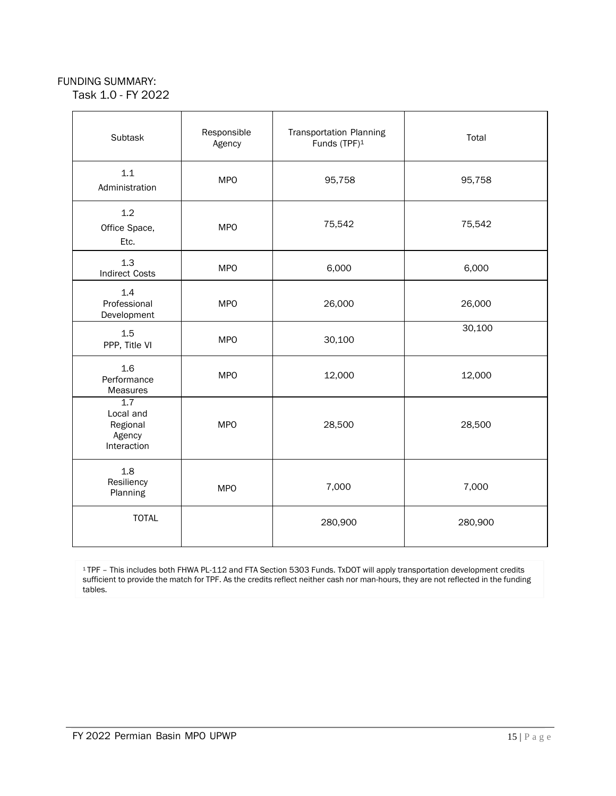#### FUNDING SUMMARY:

Task 1.0 - FY 2022

| Subtask                                                            | Responsible<br>Agency | <b>Transportation Planning</b><br>Funds (TPF) <sup>1</sup> | Total   |
|--------------------------------------------------------------------|-----------------------|------------------------------------------------------------|---------|
| 1.1<br>Administration                                              | <b>MPO</b>            | 95,758                                                     | 95,758  |
| 1.2<br>Office Space,<br>Etc.                                       | <b>MPO</b>            | 75,542                                                     | 75,542  |
| 1.3<br><b>Indirect Costs</b>                                       | <b>MPO</b>            | 6,000                                                      | 6,000   |
| 1.4<br>Professional<br>Development                                 | <b>MPO</b>            | 26,000                                                     | 26,000  |
| 1.5<br>PPP, Title VI                                               | <b>MPO</b>            | 30,100                                                     | 30,100  |
| 1.6<br>Performance<br>Measures                                     | <b>MPO</b>            | 12,000                                                     | 12,000  |
| $\overline{1.7}$<br>Local and<br>Regional<br>Agency<br>Interaction | <b>MPO</b>            | 28,500                                                     | 28,500  |
| 1.8<br>Resiliency<br>Planning                                      | <b>MPO</b>            | 7,000                                                      | 7,000   |
| <b>TOTAL</b>                                                       |                       | 280,900                                                    | 280,900 |

<sup>1</sup>TPF – This includes both FHWA PL-112 and FTA Section 5303 Funds. TxDOT will apply transportation development credits sufficient to provide the match for TPF. As the credits reflect neither cash nor man-hours, they are not reflected in the funding tables.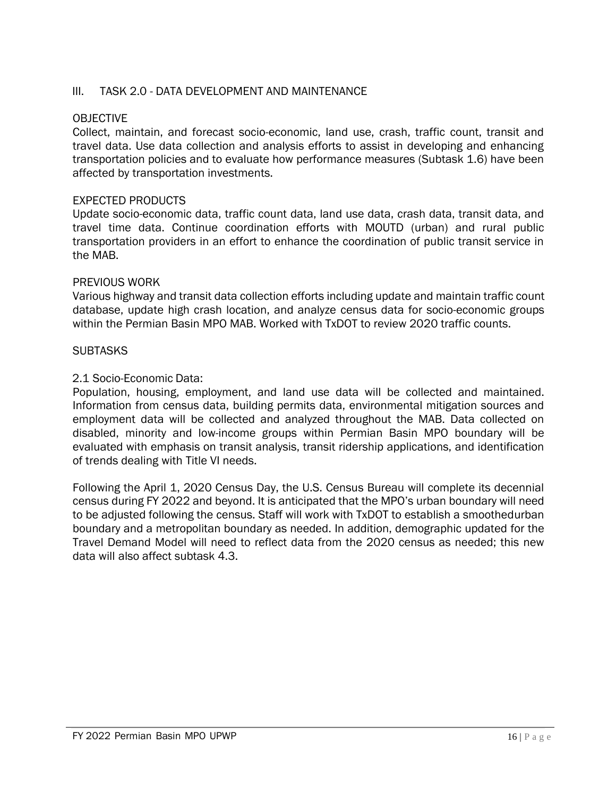#### III. TASK 2.0 - DATA DEVELOPMENT AND MAINTENANCE

#### OBJECTIVE

Collect, maintain, and forecast socio-economic, land use, crash, traffic count, transit and travel data. Use data collection and analysis efforts to assist in developing and enhancing transportation policies and to evaluate how performance measures (Subtask 1.6) have been affected by transportation investments.

#### EXPECTED PRODUCTS

Update socio-economic data, traffic count data, land use data, crash data, transit data, and travel time data. Continue coordination efforts with MOUTD (urban) and rural public transportation providers in an effort to enhance the coordination of public transit service in the MAB.

#### PREVIOUS WORK

Various highway and transit data collection efforts including update and maintain traffic count database, update high crash location, and analyze census data for socio-economic groups within the Permian Basin MPO MAB. Worked with TxDOT to review 2020 traffic counts.

#### **SUBTASKS**

#### 2.1 Socio-Economic Data:

Population, housing, employment, and land use data will be collected and maintained. Information from census data, building permits data, environmental mitigation sources and employment data will be collected and analyzed throughout the MAB. Data collected on disabled, minority and low-income groups within Permian Basin MPO boundary will be evaluated with emphasis on transit analysis, transit ridership applications, and identification of trends dealing with Title VI needs.

Following the April 1, 2020 Census Day, the U.S. Census Bureau will complete its decennial census during FY 2022 and beyond. It is anticipated that the MPO's urban boundary will need to be adjusted following the census. Staff will work with TxDOT to establish a smoothedurban boundary and a metropolitan boundary as needed. In addition, demographic updated for the Travel Demand Model will need to reflect data from the 2020 census as needed; this new data will also affect subtask 4.3.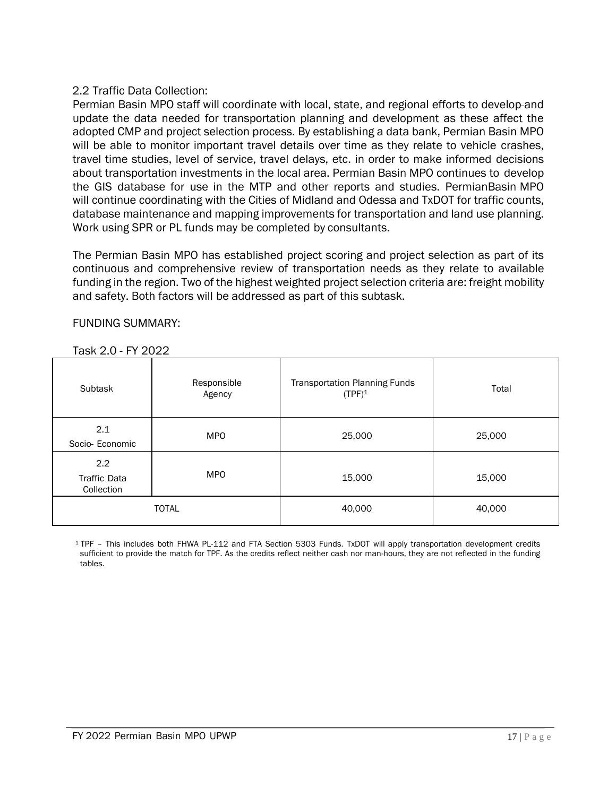#### 2.2 Traffic Data Collection:

Permian Basin MPO staff will coordinate with local, state, and regional efforts to develop-and update the data needed for transportation planning and development as these affect the adopted CMP and project selection process. By establishing a data bank, Permian Basin MPO will be able to monitor important travel details over time as they relate to vehicle crashes, travel time studies, level of service, travel delays, etc. in order to make informed decisions about transportation investments in the local area. Permian Basin MPO continues to develop the GIS database for use in the MTP and other reports and studies. PermianBasin MPO will continue coordinating with the Cities of Midland and Odessa and TxDOT for traffic counts, database maintenance and mapping improvements for transportation and land use planning. Work using SPR or PL funds may be completed by consultants.

The Permian Basin MPO has established project scoring and project selection as part of its continuous and comprehensive review of transportation needs as they relate to available funding in the region. Two of the highest weighted project selection criteria are: freight mobility and safety. Both factors will be addressed as part of this subtask.

#### FUNDING SUMMARY:

Task 2.0 - FY 2022

| Subtask                                            | Responsible<br>Agency | <b>Transportation Planning Funds</b><br>$(TPF)^1$ | Total  |
|----------------------------------------------------|-----------------------|---------------------------------------------------|--------|
| 2.1<br>Socio-Economic                              | <b>MPO</b>            | 25,000                                            | 25,000 |
| $2.2^{\circ}$<br><b>Traffic Data</b><br>Collection | <b>MPO</b>            | 15,000                                            | 15,000 |
|                                                    | <b>TOTAL</b>          | 40,000                                            | 40,000 |

<sup>1</sup>TPF – This includes both FHWA PL-112 and FTA Section 5303 Funds. TxDOT will apply transportation development credits sufficient to provide the match for TPF. As the credits reflect neither cash nor man-hours, they are not reflected in the funding tables.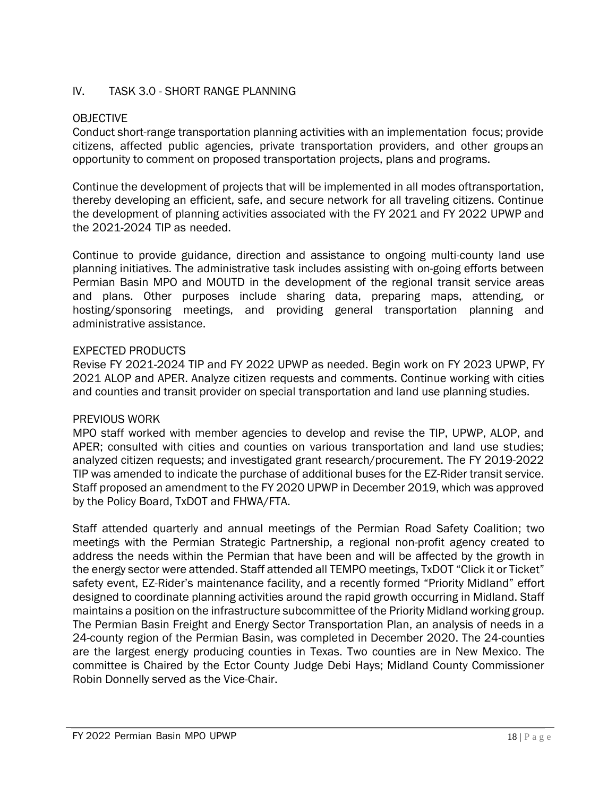#### IV. TASK 3.0 - SHORT RANGE PLANNING

#### OBJECTIVE

Conduct short-range transportation planning activities with an implementation focus; provide citizens, affected public agencies, private transportation providers, and other groups an opportunity to comment on proposed transportation projects, plans and programs.

Continue the development of projects that will be implemented in all modes oftransportation, thereby developing an efficient, safe, and secure network for all traveling citizens. Continue the development of planning activities associated with the FY 2021 and FY 2022 UPWP and the 2021-2024 TIP as needed.

Continue to provide guidance, direction and assistance to ongoing multi-county land use planning initiatives. The administrative task includes assisting with on-going efforts between Permian Basin MPO and MOUTD in the development of the regional transit service areas and plans. Other purposes include sharing data, preparing maps, attending, or hosting/sponsoring meetings, and providing general transportation planning and administrative assistance.

#### EXPECTED PRODUCTS

Revise FY 2021-2024 TIP and FY 2022 UPWP as needed. Begin work on FY 2023 UPWP, FY 2021 ALOP and APER. Analyze citizen requests and comments. Continue working with cities and counties and transit provider on special transportation and land use planning studies.

#### PREVIOUS WORK

MPO staff worked with member agencies to develop and revise the TIP, UPWP, ALOP, and APER; consulted with cities and counties on various transportation and land use studies; analyzed citizen requests; and investigated grant research/procurement. The FY 2019-2022 TIP was amended to indicate the purchase of additional buses for the EZ-Rider transit service. Staff proposed an amendment to the FY 2020 UPWP in December 2019, which was approved by the Policy Board, TxDOT and FHWA/FTA.

Staff attended quarterly and annual meetings of the Permian Road Safety Coalition; two meetings with the Permian Strategic Partnership, a regional non-profit agency created to address the needs within the Permian that have been and will be affected by the growth in the energy sector were attended. Staff attended all TEMPO meetings, TxDOT "Click it or Ticket" safety event, EZ-Rider's maintenance facility, and a recently formed "Priority Midland" effort designed to coordinate planning activities around the rapid growth occurring in Midland. Staff maintains a position on the infrastructure subcommittee of the Priority Midland working group. The Permian Basin Freight and Energy Sector Transportation Plan, an analysis of needs in a 24-county region of the Permian Basin, was completed in December 2020. The 24-counties are the largest energy producing counties in Texas. Two counties are in New Mexico. The committee is Chaired by the Ector County Judge Debi Hays; Midland County Commissioner Robin Donnelly served as the Vice-Chair.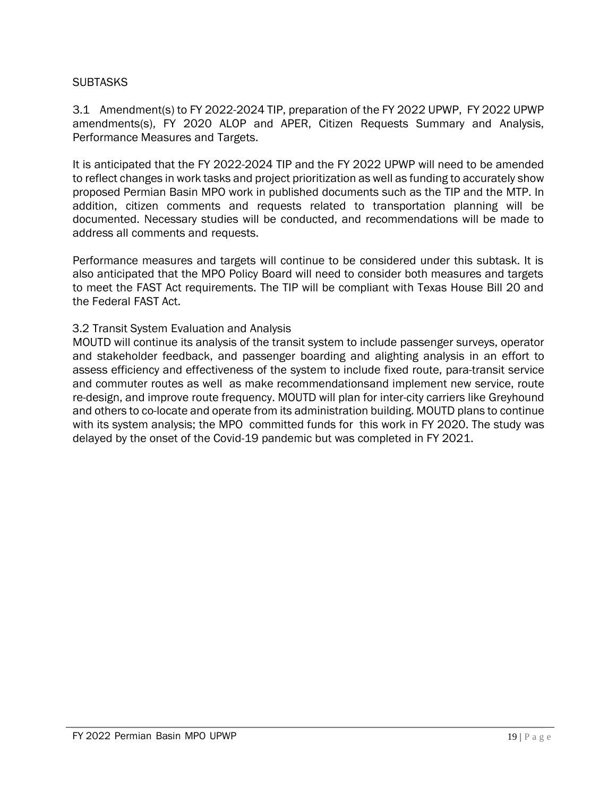#### **SUBTASKS**

3.1 Amendment(s) to FY 2022-2024 TIP, preparation of the FY 2022 UPWP, FY 2022 UPWP amendments(s), FY 2020 ALOP and APER, Citizen Requests Summary and Analysis, Performance Measures and Targets.

It is anticipated that the FY 2022-2024 TIP and the FY 2022 UPWP will need to be amended to reflect changes in work tasks and project prioritization as well as funding to accurately show proposed Permian Basin MPO work in published documents such as the TIP and the MTP. In addition, citizen comments and requests related to transportation planning will be documented. Necessary studies will be conducted, and recommendations will be made to address all comments and requests.

Performance measures and targets will continue to be considered under this subtask. It is also anticipated that the MPO Policy Board will need to consider both measures and targets to meet the FAST Act requirements. The TIP will be compliant with Texas House Bill 20 and the Federal FAST Act.

#### 3.2 Transit System Evaluation and Analysis

MOUTD will continue its analysis of the transit system to include passenger surveys, operator and stakeholder feedback, and passenger boarding and alighting analysis in an effort to assess efficiency and effectiveness of the system to include fixed route, para-transit service and commuter routes as well as make recommendationsand implement new service, route re-design, and improve route frequency. MOUTD will plan for inter-city carriers like Greyhound and others to co-locate and operate from its administration building. MOUTD plans to continue with its system analysis; the MPO committed funds for this work in FY 2020. The study was delayed by the onset of the Covid-19 pandemic but was completed in FY 2021.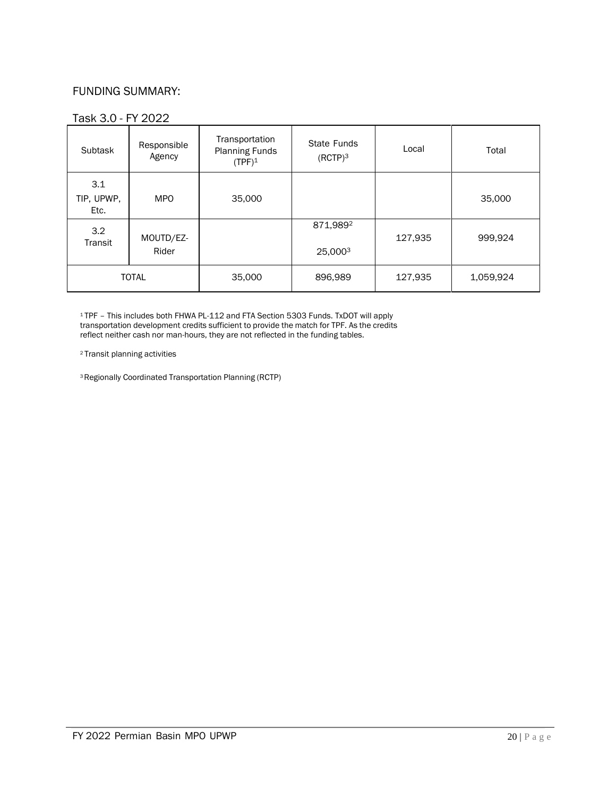#### FUNDING SUMMARY:

#### Task 3.0 - FY 2022

| Subtask                   | Responsible<br>Agency | Transportation<br><b>Planning Funds</b><br>$(TPF)^1$ | State Funds<br>$(RCTP)^3$ | Local   | Total     |
|---------------------------|-----------------------|------------------------------------------------------|---------------------------|---------|-----------|
| 3.1<br>TIP, UPWP,<br>Etc. | <b>MPO</b>            | 35,000                                               |                           |         | 35,000    |
| 3.2<br>Transit            | MOUTD/EZ-             |                                                      | 871,9892                  | 127,935 | 999,924   |
|                           | Rider                 |                                                      | 25,0003                   |         |           |
| <b>TOTAL</b>              |                       | 35,000                                               | 896,989                   | 127,935 | 1,059,924 |

<sup>1</sup>TPF – This includes both FHWA PL-112 and FTA Section 5303 Funds. TxDOT will apply transportation development credits sufficient to provide the match for TPF. As the credits reflect neither cash nor man-hours, they are not reflected in the funding tables.

<sup>2</sup>Transit planning activities

<sup>3</sup>Regionally Coordinated Transportation Planning (RCTP)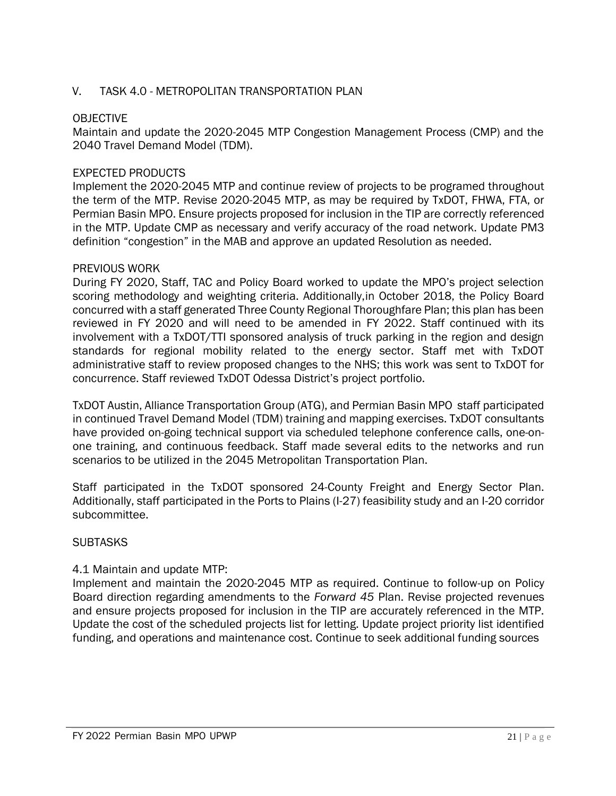#### V. TASK 4.0 - METROPOLITAN TRANSPORTATION PLAN

#### OBJECTIVE

Maintain and update the 2020-2045 MTP Congestion Management Process (CMP) and the 2040 Travel Demand Model (TDM).

#### EXPECTED PRODUCTS

Implement the 2020-2045 MTP and continue review of projects to be programed throughout the term of the MTP. Revise 2020-2045 MTP, as may be required by TxDOT, FHWA, FTA, or Permian Basin MPO. Ensure projects proposed for inclusion in the TIP are correctly referenced in the MTP. Update CMP as necessary and verify accuracy of the road network. Update PM3 definition "congestion" in the MAB and approve an updated Resolution as needed.

#### PREVIOUS WORK

During FY 2020, Staff, TAC and Policy Board worked to update the MPO's project selection scoring methodology and weighting criteria. Additionally,in October 2018, the Policy Board concurred with a staff generated Three County Regional Thoroughfare Plan; this plan has been reviewed in FY 2020 and will need to be amended in FY 2022. Staff continued with its involvement with a TxDOT/TTI sponsored analysis of truck parking in the region and design standards for regional mobility related to the energy sector. Staff met with TxDOT administrative staff to review proposed changes to the NHS; this work was sent to TxDOT for concurrence. Staff reviewed TxDOT Odessa District's project portfolio.

TxDOT Austin, Alliance Transportation Group (ATG), and Permian Basin MPO staff participated in continued Travel Demand Model (TDM) training and mapping exercises. TxDOT consultants have provided on-going technical support via scheduled telephone conference calls, one-onone training, and continuous feedback. Staff made several edits to the networks and run scenarios to be utilized in the 2045 Metropolitan Transportation Plan.

Staff participated in the TxDOT sponsored 24-County Freight and Energy Sector Plan. Additionally, staff participated in the Ports to Plains (I-27) feasibility study and an I-20 corridor subcommittee.

#### **SUBTASKS**

#### 4.1 Maintain and update MTP:

Implement and maintain the 2020-2045 MTP as required. Continue to follow-up on Policy Board direction regarding amendments to the *Forward 45* Plan. Revise projected revenues and ensure projects proposed for inclusion in the TIP are accurately referenced in the MTP. Update the cost of the scheduled projects list for letting. Update project priority list identified funding, and operations and maintenance cost. Continue to seek additional funding sources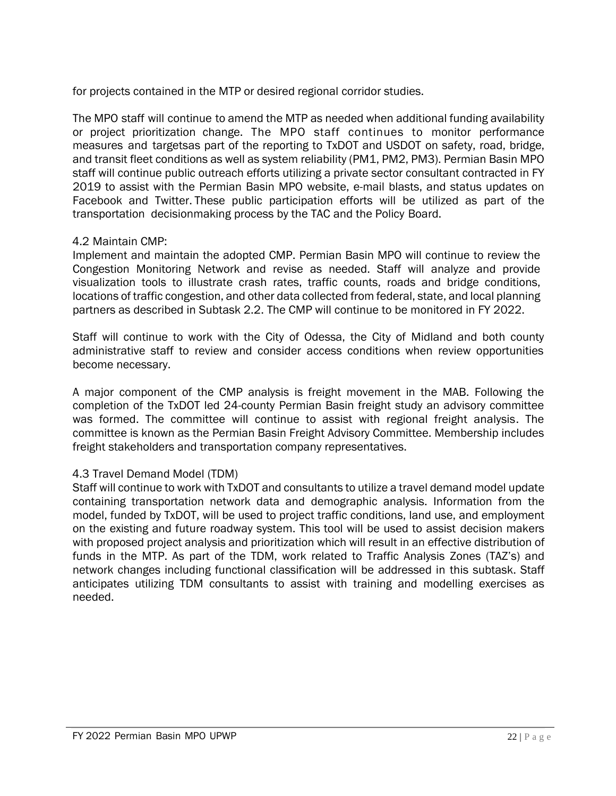for projects contained in the MTP or desired regional corridor studies.

The MPO staff will continue to amend the MTP as needed when additional funding availability or project prioritization change. The MPO staff continues to monitor performance measures and targetsas part of the reporting to TxDOT and USDOT on safety, road, bridge, and transit fleet conditions as well as system reliability (PM1, PM2, PM3). Permian Basin MPO staff will continue public outreach efforts utilizing a private sector consultant contracted in FY 2019 to assist with the Permian Basin MPO website, e-mail blasts, and status updates on Facebook and Twitter. These public participation efforts will be utilized as part of the transportation decisionmaking process by the TAC and the Policy Board.

#### 4.2 Maintain CMP:

Implement and maintain the adopted CMP. Permian Basin MPO will continue to review the Congestion Monitoring Network and revise as needed. Staff will analyze and provide visualization tools to illustrate crash rates, traffic counts, roads and bridge conditions, locations of traffic congestion, and other data collected from federal, state, and local planning partners as described in Subtask 2.2. The CMP will continue to be monitored in FY 2022.

Staff will continue to work with the City of Odessa, the City of Midland and both county administrative staff to review and consider access conditions when review opportunities become necessary.

A major component of the CMP analysis is freight movement in the MAB. Following the completion of the TxDOT led 24-county Permian Basin freight study an advisory committee was formed. The committee will continue to assist with regional freight analysis. The committee is known as the Permian Basin Freight Advisory Committee. Membership includes freight stakeholders and transportation company representatives.

#### 4.3 Travel Demand Model (TDM)

Staff will continue to work with TxDOT and consultants to utilize a travel demand model update containing transportation network data and demographic analysis. Information from the model, funded by TxDOT, will be used to project traffic conditions, land use, and employment on the existing and future roadway system. This tool will be used to assist decision makers with proposed project analysis and prioritization which will result in an effective distribution of funds in the MTP. As part of the TDM, work related to Traffic Analysis Zones (TAZ's) and network changes including functional classification will be addressed in this subtask. Staff anticipates utilizing TDM consultants to assist with training and modelling exercises as needed.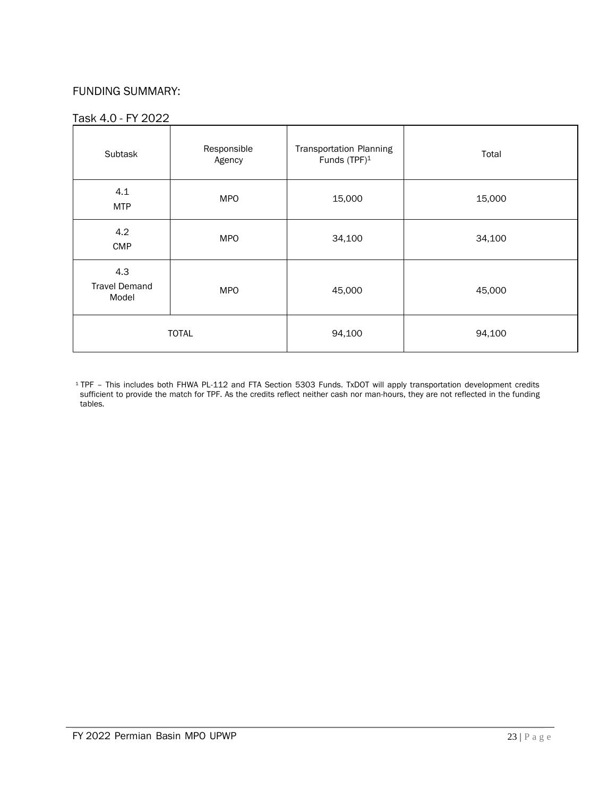#### FUNDING SUMMARY:

#### Task 4.0 - FY 2022

| Subtask                              | Responsible<br>Agency | <b>Transportation Planning</b><br>Funds (TPF) <sup>1</sup> | Total  |
|--------------------------------------|-----------------------|------------------------------------------------------------|--------|
| 4.1<br><b>MTP</b>                    | <b>MPO</b>            | 15,000                                                     | 15,000 |
| 4.2<br><b>CMP</b>                    | <b>MPO</b>            | 34,100                                                     | 34,100 |
| 4.3<br><b>Travel Demand</b><br>Model | <b>MPO</b>            | 45,000                                                     | 45,000 |
|                                      | <b>TOTAL</b>          | 94,100                                                     | 94,100 |

<sup>1</sup>TPF – This includes both FHWA PL-112 and FTA Section 5303 Funds. TxDOT will apply transportation development credits sufficient to provide the match for TPF. As the credits reflect neither cash nor man-hours, they are not reflected in the funding tables.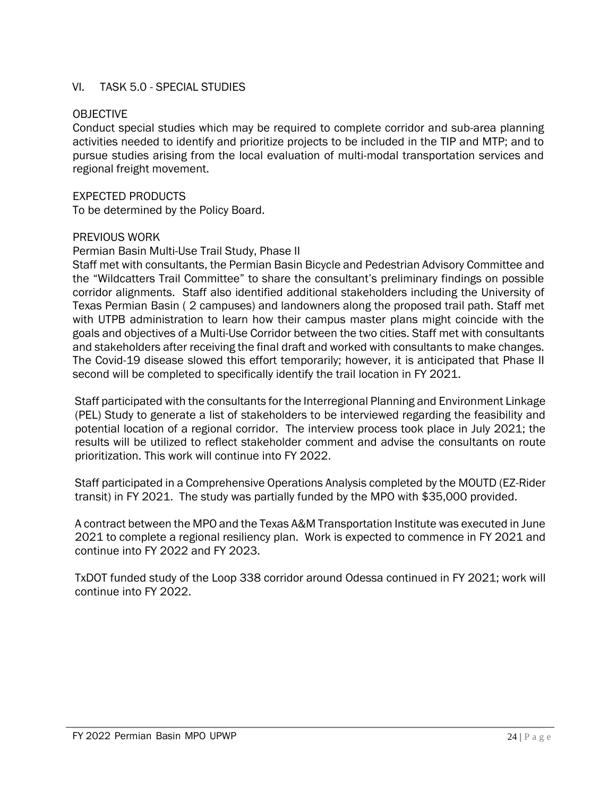#### VI. TASK 5.0 - SPECIAL STUDIES

#### OBJECTIVE

Conduct special studies which may be required to complete corridor and sub-area planning activities needed to identify and prioritize projects to be included in the TIP and MTP; and to pursue studies arising from the local evaluation of multi-modal transportation services and regional freight movement.

#### EXPECTED PRODUCTS

To be determined by the Policy Board.

#### PREVIOUS WORK

#### Permian Basin Multi-Use Trail Study, Phase II

Staff met with consultants, the Permian Basin Bicycle and Pedestrian Advisory Committee and the "Wildcatters Trail Committee" to share the consultant's preliminary findings on possible corridor alignments. Staff also identified additional stakeholders including the University of Texas Permian Basin ( 2 campuses) and landowners along the proposed trail path. Staff met with UTPB administration to learn how their campus master plans might coincide with the goals and objectives of a Multi-Use Corridor between the two cities. Staff met with consultants and stakeholders after receiving the final draft and worked with consultants to make changes. The Covid-19 disease slowed this effort temporarily; however, it is anticipated that Phase II second will be completed to specifically identify the trail location in FY 2021.

Staff participated with the consultants for the Interregional Planning and Environment Linkage (PEL) Study to generate a list of stakeholders to be interviewed regarding the feasibility and potential location of a regional corridor. The interview process took place in July 2021; the results will be utilized to reflect stakeholder comment and advise the consultants on route prioritization. This work will continue into FY 2022.

Staff participated in a Comprehensive Operations Analysis completed by the MOUTD (EZ-Rider transit) in FY 2021. The study was partially funded by the MPO with \$35,000 provided.

A contract between the MPO and the Texas A&M Transportation Institute was executed in June 2021 to complete a regional resiliency plan. Work is expected to commence in FY 2021 and continue into FY 2022 and FY 2023.

TxDOT funded study of the Loop 338 corridor around Odessa continued in FY 2021; work will continue into FY 2022.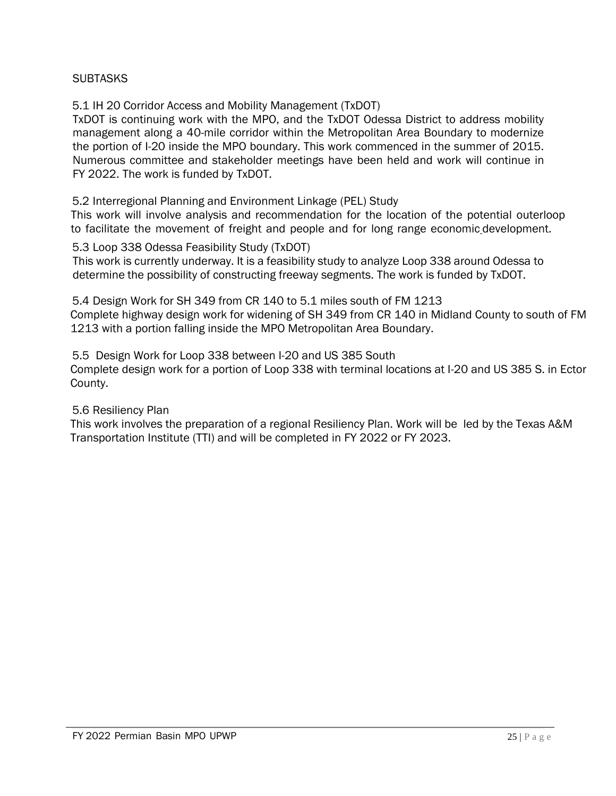#### **SUBTASKS**

5.1 IH 20 Corridor Access and Mobility Management (TxDOT)

TxDOT is continuing work with the MPO, and the TxDOT Odessa District to address mobility management along a 40-mile corridor within the Metropolitan Area Boundary to modernize the portion of I-20 inside the MPO boundary. This work commenced in the summer of 2015. Numerous committee and stakeholder meetings have been held and work will continue in FY 2022. The work is funded by TxDOT.

5.2 Interregional Planning and Environment Linkage (PEL) Study

This work will involve analysis and recommendation for the location of the potential outerloop to facilitate the movement of freight and people and for long range economic development.

5.3 Loop 338 Odessa Feasibility Study (TxDOT)

This work is currently underway. It is a feasibility study to analyze Loop 338 around Odessa to determine the possibility of constructing freeway segments. The work is funded by TxDOT.

5.4 Design Work for SH 349 from CR 140 to 5.1 miles south of FM 1213 Complete highway design work for widening of SH 349 from CR 140 in Midland County to south of FM 1213 with a portion falling inside the MPO Metropolitan Area Boundary.

5.5 Design Work for Loop 338 between I-20 and US 385 South Complete design work for a portion of Loop 338 with terminal locations at I-20 and US 385 S. in Ector County.

5.6 Resiliency Plan

This work involves the preparation of a regional Resiliency Plan. Work will be led by the Texas A&M Transportation Institute (TTI) and will be completed in FY 2022 or FY 2023.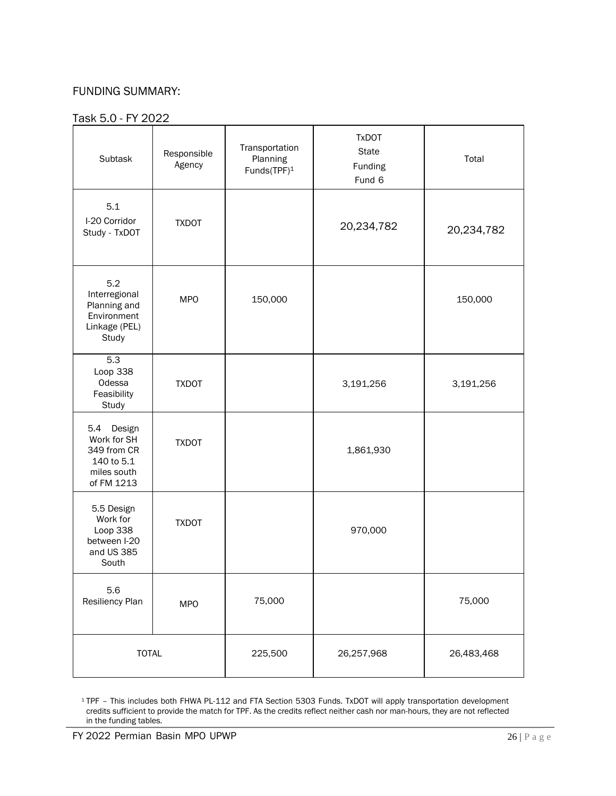#### FUNDING SUMMARY:

#### Task 5.0 - FY 2022

| Subtask                                                                                | Responsible<br>Agency | Transportation<br>Planning<br>Funds(TPF) <sup>1</sup> | <b>TxDOT</b><br>State<br>Funding<br>Fund 6 | Total      |
|----------------------------------------------------------------------------------------|-----------------------|-------------------------------------------------------|--------------------------------------------|------------|
| 5.1<br>I-20 Corridor<br>Study - TxDOT                                                  | <b>TXDOT</b>          |                                                       | 20,234,782                                 | 20,234,782 |
| 5.2<br>Interregional<br>Planning and<br>Environment<br>Linkage (PEL)<br>Study          | <b>MPO</b>            | 150,000                                               |                                            | 150,000    |
| 5.3<br>Loop 338<br>Odessa<br>Feasibility<br>Study                                      | <b>TXDOT</b>          |                                                       | 3,191,256                                  | 3,191,256  |
| Design<br>5.4<br>Work for SH<br>349 from CR<br>140 to 5.1<br>miles south<br>of FM 1213 | <b>TXDOT</b>          |                                                       | 1,861,930                                  |            |
| 5.5 Design<br>Work for<br>Loop 338<br>between I-20<br>and US 385<br>South              | <b>TXDOT</b>          |                                                       | 970,000                                    |            |
| 5.6<br>Resiliency Plan                                                                 | <b>MPO</b>            | 75,000                                                |                                            | 75,000     |
| <b>TOTAL</b>                                                                           |                       | 225,500                                               | 26,257,968                                 | 26,483,468 |

<sup>1</sup>TPF – This includes both FHWA PL-112 and FTA Section 5303 Funds. TxDOT will apply transportation development credits sufficient to provide the match for TPF. As the credits reflect neither cash nor man-hours, they are not reflected in the funding tables.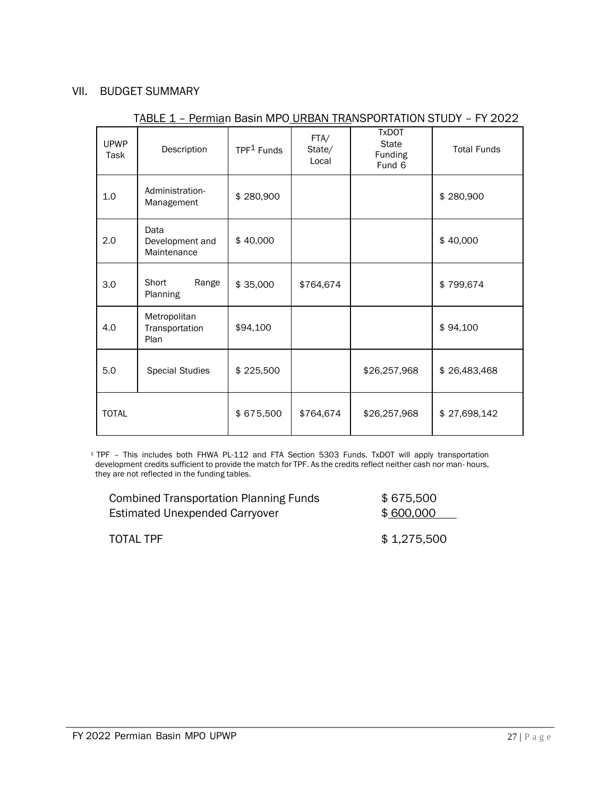#### VII. BUDGET SUMMARY

| <b>UPWP</b><br>Task | Description                            | TPF <sup>1</sup> Funds | FTA/<br>State/<br>Local | <b>TxDOT</b><br><b>State</b><br>Funding<br>Fund 6 | <b>Total Funds</b> |
|---------------------|----------------------------------------|------------------------|-------------------------|---------------------------------------------------|--------------------|
| 1.0                 | Administration-<br>Management          | \$280,900              |                         |                                                   | \$280,900          |
| 2.0                 | Data<br>Development and<br>Maintenance | \$40,000               |                         |                                                   | \$40,000           |
| 3.0                 | Short<br>Range<br>Planning             | \$35,000               | \$764,674               |                                                   | \$799,674          |
| 4.0                 | Metropolitan<br>Transportation<br>Plan | \$94,100               |                         |                                                   | \$94,100           |
| 5.0                 | <b>Special Studies</b>                 | \$225,500              |                         | \$26,257,968                                      | \$26,483,468       |
| <b>TOTAL</b>        |                                        | \$675,500              | \$764,674               | \$26,257,968                                      | \$27,698,142       |

#### TABLE 1 - Permian Basin MPO URBAN TRANSPORTATION STUDY - FY 2022

<sup>1</sup> TPF – This includes both FHWA PL-112 and FTA Section 5303 Funds. TxDOT will apply transportation development credits sufficient to provide the match for TPF. As the credits reflect neither cash nor man- hours, they are not reflected in the funding tables.

| <b>Combined Transportation Planning Funds</b> | \$675,500   |
|-----------------------------------------------|-------------|
| <b>Estimated Unexpended Carryover</b>         | \$600,000   |
|                                               |             |
| TOTAL TPF                                     | \$1,275,500 |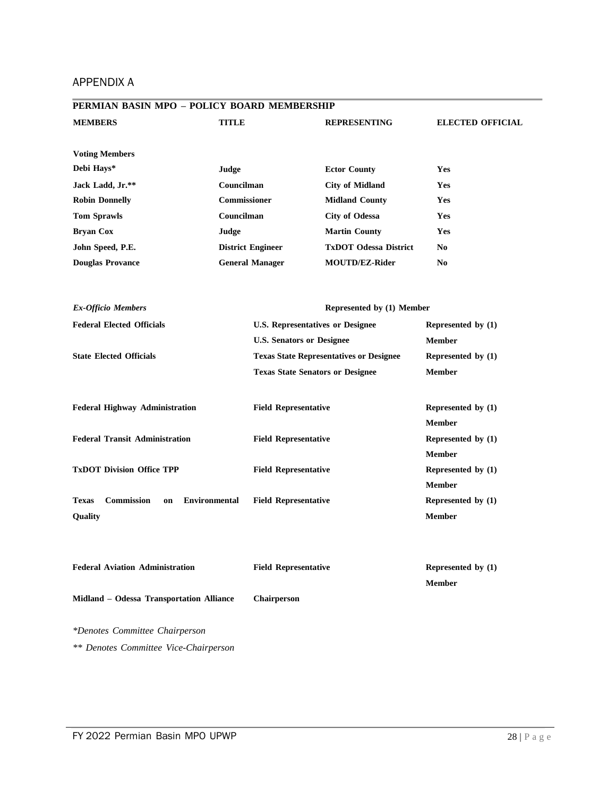#### APPENDIX A

| PERMIAN BASIN MPO - POLICY BOARD MEMBERSHIP                     |                                  |                                                |                         |
|-----------------------------------------------------------------|----------------------------------|------------------------------------------------|-------------------------|
| <b>MEMBERS</b>                                                  | <b>TITLE</b>                     | <b>REPRESENTING</b>                            | <b>ELECTED OFFICIAL</b> |
|                                                                 |                                  |                                                |                         |
| <b>Voting Members</b>                                           |                                  |                                                |                         |
| Debi Hays*                                                      | Judge                            | <b>Ector County</b>                            | Yes                     |
| Jack Ladd, Jr.**                                                | Councilman                       | <b>City of Midland</b>                         | Yes                     |
| <b>Robin Donnelly</b>                                           | Commissioner                     | <b>Midland County</b>                          | Yes                     |
| <b>Tom Sprawls</b>                                              | Councilman                       | <b>City of Odessa</b>                          | Yes                     |
| <b>Bryan Cox</b>                                                | Judge                            | <b>Martin County</b>                           | Yes                     |
| John Speed, P.E.                                                | <b>District Engineer</b>         | <b>TxDOT Odessa District</b>                   | No                      |
| <b>Douglas Provance</b>                                         | <b>General Manager</b>           | <b>MOUTD/EZ-Rider</b>                          | N <sub>0</sub>          |
|                                                                 |                                  |                                                |                         |
| <b>Ex-Officio Members</b>                                       |                                  | Represented by (1) Member                      |                         |
| <b>Federal Elected Officials</b>                                |                                  | <b>U.S. Representatives or Designee</b>        | Represented by (1)      |
|                                                                 | <b>U.S. Senators or Designee</b> |                                                | <b>Member</b>           |
| <b>State Elected Officials</b>                                  |                                  | <b>Texas State Representatives or Designee</b> | Represented by (1)      |
|                                                                 |                                  | <b>Texas State Senators or Designee</b>        | <b>Member</b>           |
|                                                                 |                                  |                                                |                         |
| <b>Federal Highway Administration</b>                           | <b>Field Representative</b>      |                                                | Represented by (1)      |
|                                                                 |                                  |                                                | <b>Member</b>           |
| <b>Federal Transit Administration</b>                           | <b>Field Representative</b>      |                                                | Represented by (1)      |
|                                                                 |                                  |                                                | <b>Member</b>           |
| <b>TxDOT Division Office TPP</b>                                | <b>Field Representative</b>      |                                                | Represented by (1)      |
|                                                                 |                                  |                                                | <b>Member</b>           |
| <b>Commission</b><br><b>Environmental</b><br><b>Texas</b><br>on | <b>Field Representative</b>      |                                                | Represented by (1)      |
| Quality                                                         |                                  |                                                | <b>Member</b>           |
|                                                                 |                                  |                                                |                         |
|                                                                 |                                  |                                                |                         |
| <b>Federal Aviation Administration</b>                          | <b>Field Representative</b>      |                                                | Represented by (1)      |
|                                                                 |                                  |                                                | <b>Member</b>           |
| Midland - Odessa Transportation Alliance                        | <b>Chairperson</b>               |                                                |                         |
| *Denotes Committee Chairperson                                  |                                  |                                                |                         |
|                                                                 |                                  |                                                |                         |

*\*\* Denotes Committee Vice-Chairperson*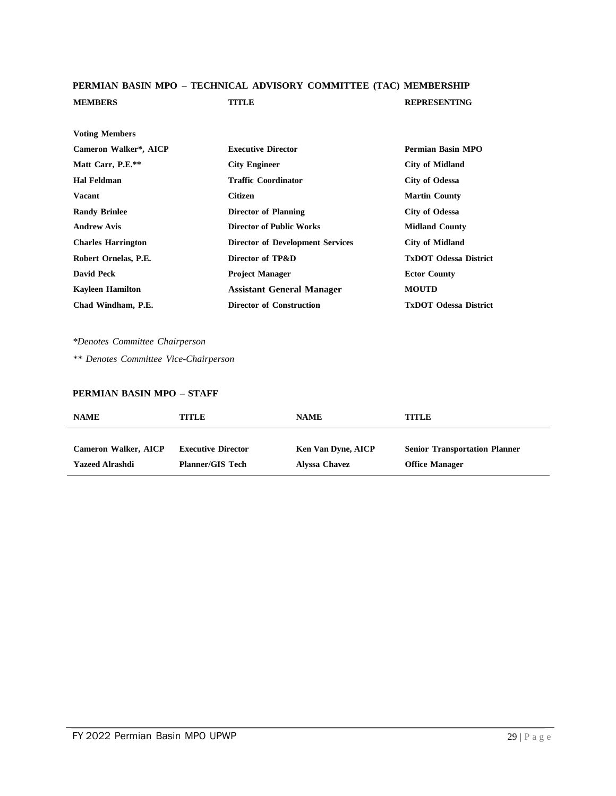#### **PERMIAN BASIN MPO – TECHNICAL ADVISORY COMMITTEE (TAC) MEMBERSHIP MEMBERS TITLE REPRESENTING**

| <b>Voting Members</b>     |                                         |                              |
|---------------------------|-----------------------------------------|------------------------------|
| Cameron Walker*, AICP     | <b>Executive Director</b>               | Permian Basin MPO            |
| Matt Carr, P.E.**         | <b>City Engineer</b>                    | <b>City of Midland</b>       |
| <b>Hal Feldman</b>        | <b>Traffic Coordinator</b>              | <b>City of Odessa</b>        |
| <b>Vacant</b>             | <b>Citizen</b>                          | <b>Martin County</b>         |
| <b>Randy Brinlee</b>      | <b>Director of Planning</b>             | <b>City of Odessa</b>        |
| <b>Andrew Avis</b>        | <b>Director of Public Works</b>         | <b>Midland County</b>        |
| <b>Charles Harrington</b> | <b>Director of Development Services</b> | <b>City of Midland</b>       |
| Robert Ornelas, P.E.      | Director of TP&D                        | <b>TxDOT Odessa District</b> |
| <b>David Peck</b>         | <b>Project Manager</b>                  | <b>Ector County</b>          |
| <b>Kayleen Hamilton</b>   | <b>Assistant General Manager</b>        | <b>MOUTD</b>                 |
| Chad Windham, P.E.        | <b>Director of Construction</b>         | <b>TxDOT Odessa District</b> |

*\*Denotes Committee Chairperson*

*\*\* Denotes Committee Vice-Chairperson*

#### **PERMIAN BASIN MPO – STAFF**

| <b>NAME</b>                 | TITLE                     | <b>NAME</b>               | <b>TITLE</b>                         |
|-----------------------------|---------------------------|---------------------------|--------------------------------------|
| <b>Cameron Walker, AICP</b> | <b>Executive Director</b> | <b>Ken Van Dyne, AICP</b> | <b>Senior Transportation Planner</b> |
| <b>Yazeed Alrashdi</b>      | <b>Planner/GIS Tech</b>   | Alyssa Chavez             | <b>Office Manager</b>                |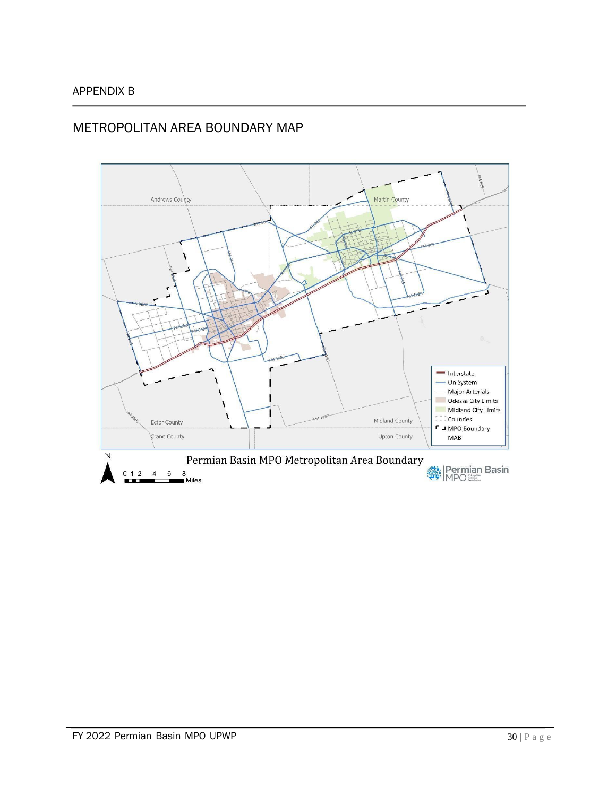#### APPENDIX B

# METROPOLITAN AREA BOUNDARY MAP

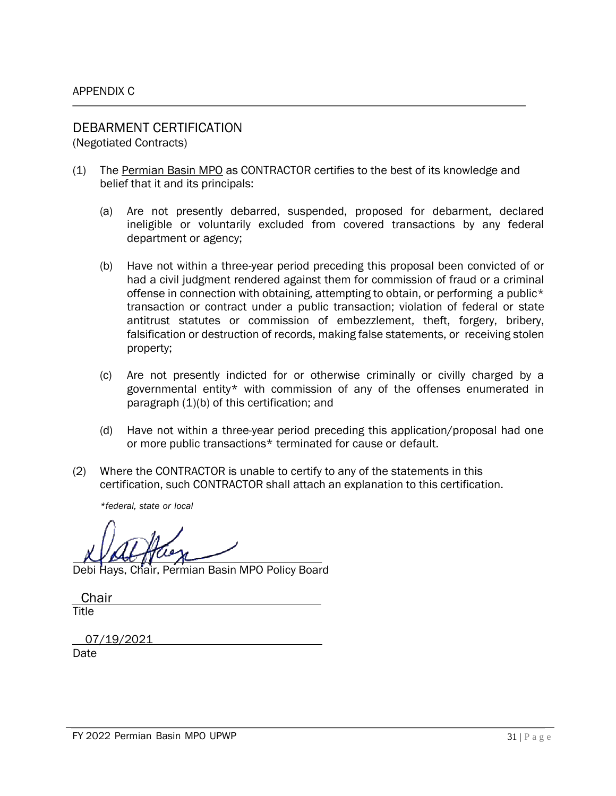# DEBARMENT CERTIFICATION

(Negotiated Contracts)

- (1) The Permian Basin MPO as CONTRACTOR certifies to the best of its knowledge and belief that it and its principals:
	- (a) Are not presently debarred, suspended, proposed for debarment, declared ineligible or voluntarily excluded from covered transactions by any federal department or agency;
	- (b) Have not within a three-year period preceding this proposal been convicted of or had a civil judgment rendered against them for commission of fraud or a criminal offense in connection with obtaining, attempting to obtain, or performing a public\* transaction or contract under a public transaction; violation of federal or state antitrust statutes or commission of embezzlement, theft, forgery, bribery, falsification or destruction of records, making false statements, or receiving stolen property;
	- (c) Are not presently indicted for or otherwise criminally or civilly charged by a governmental entity\* with commission of any of the offenses enumerated in paragraph  $(1)(b)$  of this certification; and
	- (d) Have not within a three-year period preceding this application/proposal had one or more public transactions\* terminated for cause or default.
- (2) Where the CONTRACTOR is unable to certify to any of the statements in this certification, such CONTRACTOR shall attach an explanation to this certification.

*\*federal, state or local*

Debi Hays, Chair, Permian Basin MPO Policy Board

**Chair** Title

07/19/2021 Date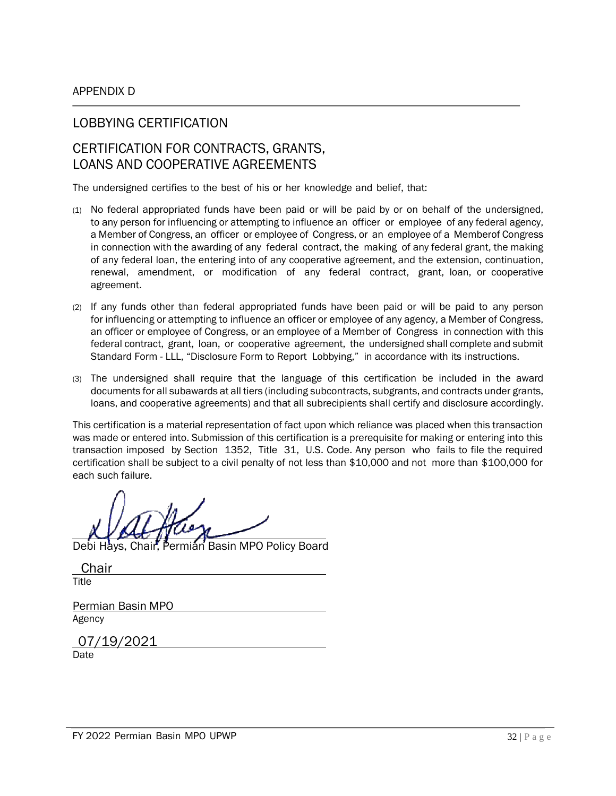#### LOBBYING CERTIFICATION

## CERTIFICATION FOR CONTRACTS, GRANTS, LOANS AND COOPERATIVE AGREEMENTS

The undersigned certifies to the best of his or her knowledge and belief, that:

- (1) No federal appropriated funds have been paid or will be paid by or on behalf of the undersigned, to any person for influencing or attempting to influence an officer or employee of any federal agency, a Member of Congress, an officer or employee of Congress, or an employee of a Memberof Congress in connection with the awarding of any federal contract, the making of any federal grant, the making of any federal loan, the entering into of any cooperative agreement, and the extension, continuation, renewal, amendment, or modification of any federal contract, grant, loan, or cooperative agreement.
- (2) If any funds other than federal appropriated funds have been paid or will be paid to any person for influencing or attempting to influence an officer or employee of any agency, a Member of Congress, an officer or employee of Congress, or an employee of a Member of Congress in connection with this federal contract, grant, loan, or cooperative agreement, the undersigned shall complete and submit Standard Form - LLL, "Disclosure Form to Report Lobbying," in accordance with its instructions.
- (3) The undersigned shall require that the language of this certification be included in the award documents for all subawards at all tiers (including subcontracts, subgrants, and contracts under grants, loans, and cooperative agreements) and that all subrecipients shall certify and disclosure accordingly.

This certification is a material representation of fact upon which reliance was placed when this transaction was made or entered into. Submission of this certification is a prerequisite for making or entering into this transaction imposed by Section 1352, Title 31, U.S. Code. Any person who fails to file the required certification shall be subject to a civil penalty of not less than \$10,000 and not more than \$100,000 for each such failure.

Debi Hays, Chair, Permian Basin MPO Policy Board

| Chair             |
|-------------------|
| Title             |
|                   |
| Permian Basin MPO |

Agency

07/19/2021

Date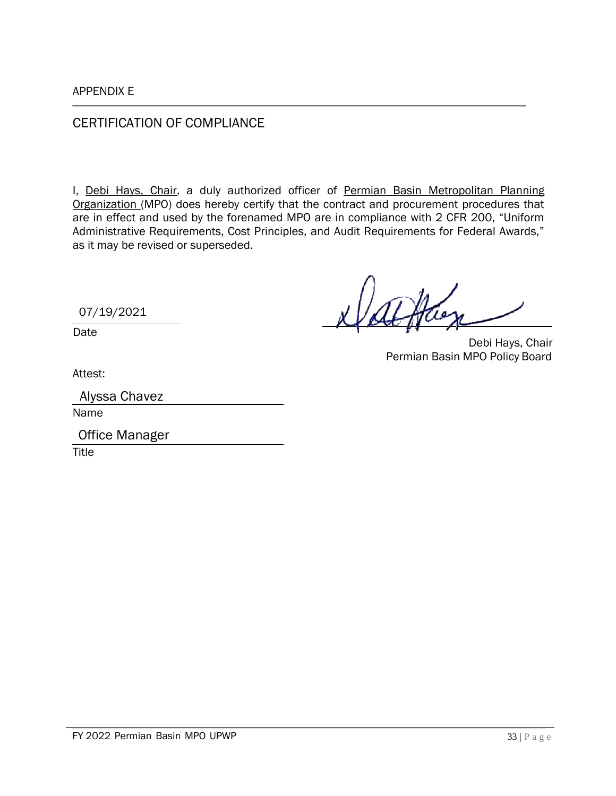CERTIFICATION OF COMPLIANCE

I, Debi Hays, Chair, a duly authorized officer of Permian Basin Metropolitan Planning Organization (MPO) does hereby certify that the contract and procurement procedures that are in effect and used by the forenamed MPO are in compliance with 2 CFR 200, "Uniform Administrative Requirements, Cost Principles, and Audit Requirements for Federal Awards," as it may be revised or superseded.

07/19/2021

Date

Debi Hays, Chair Permian Basin MPO Policy Board

Attest:

Name

**Title** Office Manager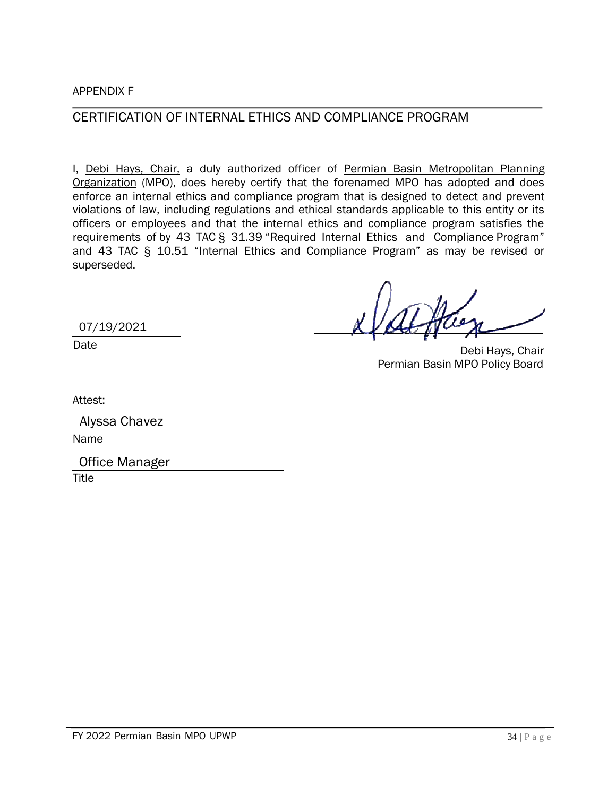APPENDIX F

### CERTIFICATION OF INTERNAL ETHICS AND COMPLIANCE PROGRAM

I, Debi Hays, Chair, a duly authorized officer of Permian Basin Metropolitan Planning Organization (MPO), does hereby certify that the forenamed MPO has adopted and does enforce an internal ethics and compliance program that is designed to detect and prevent violations of law, including regulations and ethical standards applicable to this entity or its officers or employees and that the internal ethics and compliance program satisfies the requirements of by 43 TAC § 31.39 "Required Internal Ethics and Compliance Program" and 43 TAC § 10.51 "Internal Ethics and Compliance Program" as may be revised or superseded.

07/19/2021

Date

Debi Hays, Chair Permian Basin MPO Policy Board

Attest:

|      | Alyssa Chavez |  |  |
|------|---------------|--|--|
| Name |               |  |  |
|      |               |  |  |

Office Manager

**Title**